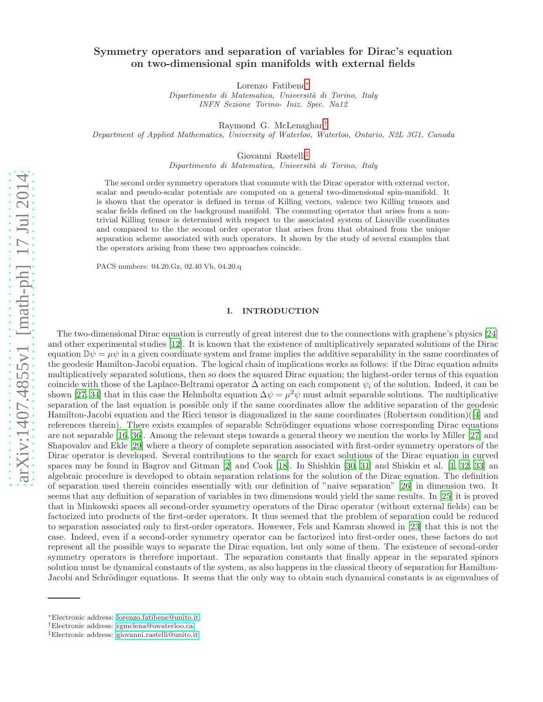# Symmetry operators and separation of variables for Dirac's equation on two-dimensional spin manifolds with external fields

Lorenzo Fatibene[∗](#page-0-0)

Dipartimento di Matematica, Universit`a di Torino, Italy INFN Sezione Torino- Iniz. Spec. Na12

Raymond G. McLenaghan[†](#page-0-1)

Department of Applied Mathematics, University of Waterloo, Waterloo, Ontario, N2L 3G1, Canada

Giovanni Rastelli[‡](#page-0-2)

Dipartimento di Matematica, Universit`a di Torino, Italy

The second order symmetry operators that commute with the Dirac operator with external vector, scalar and pseudo-scalar potentials are computed on a general two-dimensional spin-manifold. It is shown that the operator is defined in terms of Killing vectors, valence two Killing tensors and scalar fields defined on the background manifold. The commuting operator that arises from a nontrivial Killing tensor is determined with respect to the associated system of Liouville coordinates and compared to the the second order operator that arises from that obtained from the unique separation scheme associated with such operators. It shown by the study of several examples that the operators arising from these two approaches coincide.

PACS numbers: 04.20.Gz, 02.40.Vh, 04.20.q

# I. INTRODUCTION

The two-dimensional Dirac equation is currently of great interest due to the connections with graphene's physics [\[24](#page-20-0)] and other experimental studies [\[12](#page-20-1)]. It is known that the existence of multiplicatively separated solutions of the Dirac equation  $\mathbb{D}\psi = \mu\psi$  in a given coordinate system and frame implies the additive separability in the same coordinates of the geodesic Hamilton-Jacobi equation. The logical chain of implications works as follows: if the Dirac equation admits multiplicatively separated solutions, then so does the squared Dirac equation; the highest-order terms of this equation coincide with those of the Laplace-Beltrami operator  $\Delta$  acting on each component  $\psi_i$  of the solution. Indeed, it can be shown [\[27](#page-20-2), [34\]](#page-20-3) that in this case the Helmholtz equation  $\Delta \psi = \mu^2 \psi$  must admit separable solutions. The multiplicative separation of the last equation is possible only if the same coordinates allow the additive separation of the geodesic Hamilton-Jacobi equation and the Ricci tensor is diagonalized in the same coordinates (Robertson condition)([\[4](#page-20-4)] and references therein). There exists examples of separable Schrödinger equations whose corresponding Dirac equations are not separable [\[16](#page-20-5), [36\]](#page-20-6). Among the relevant steps towards a general theory we mention the works by Miller [\[27\]](#page-20-2) and Shapovalov and Ekle [\[29\]](#page-20-7) where a theory of complete separation associated with first-order symmetry operators of the Dirac operator is developed. Several contributions to the search for exact solutions of the Dirac equation in curved spaces may be found in Bagrov and Gitman [\[2](#page-19-0)] and Cook [\[18\]](#page-20-8). In Shishkin [\[30,](#page-20-9) [31\]](#page-20-10) and Shiskin et al. [\[1,](#page-19-1) [32,](#page-20-11) [33](#page-20-12)] an algebraic procedure is developed to obtain separation relations for the solution of the Dirac equation. The definition of separation used therein coincides essentially with our definition of "naive separation" [\[26](#page-20-13)] in dimension two. It seems that any definition of separation of variables in two dimensions would yield the same results. In [\[25\]](#page-20-14) it is proved that in Minkowski spaces all second-order symmetry operators of the Dirac operator (without external fields) can be factorized into products of the first-order operators. It thus seemed that the problem of separation could be reduced to separation associated only to first-order operators. Howewer, Fels and Kamran showed in [\[23](#page-20-15)] that this is not the case. Indeed, even if a second-order symmetry operator can be factorized into first-order ones, these factors do not represent all the possible ways to separate the Dirac equation, but only some of them. The existence of second-order symmetry operators is therefore important. The separation constants that finally appear in the separated spinors solution must be dynamical constants of the system, as also happens in the classical theory of separation for Hamilton-Jacobi and Schrödinger equations. It seems that the only way to obtain such dynamical constants is as eigenvalues of

<span id="page-0-0"></span><sup>∗</sup>Electronic address: [lorenzo.fatibene@unito.it](mailto:lorenzo.fatibene@unito.it)

<span id="page-0-1"></span><sup>†</sup>Electronic address: [rgmclena@uwaterloo.ca](mailto:rgmclena@uwaterloo.ca)

<span id="page-0-2"></span><sup>‡</sup>Electronic address: [giovanni.rastelli@unito.it](mailto:giovanni.rastelli@unito.it)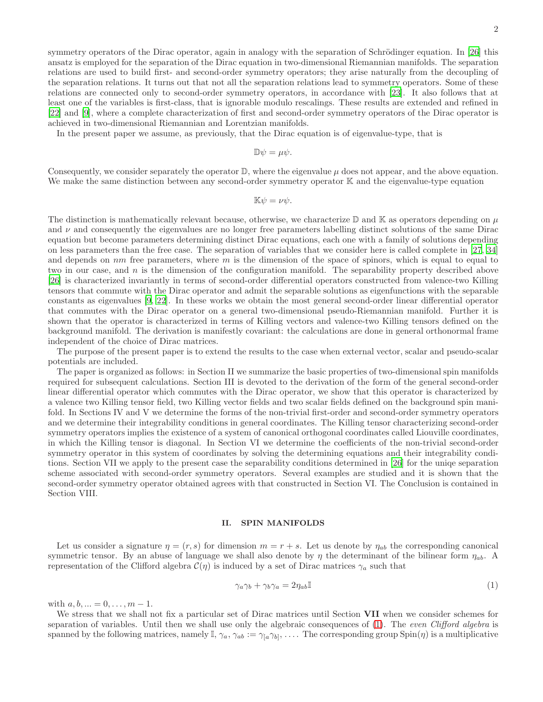symmetry operators of the Dirac operator, again in analogy with the separation of Schrödinger equation. In  $[26]$  this ansatz is employed for the separation of the Dirac equation in two-dimensional Riemannian manifolds. The separation relations are used to build first- and second-order symmetry operators; they arise naturally from the decoupling of the separation relations. It turns out that not all the separation relations lead to symmetry operators. Some of these relations are connected only to second-order symmetry operators, in accordance with [\[23\]](#page-20-15). It also follows that at least one of the variables is first-class, that is ignorable modulo rescalings. These results are extended and refined in [\[22\]](#page-20-16) and [\[9\]](#page-20-17), where a complete characterization of first and second-order symmetry operators of the Dirac operator is achieved in two-dimensional Riemannian and Lorentzian manifolds.

In the present paper we assume, as previously, that the Dirac equation is of eigenvalue-type, that is

 $\mathbb{D}\psi = \mu\psi.$ 

Consequently, we consider separately the operator  $\mathbb{D}$ , where the eigenvalue  $\mu$  does not appear, and the above equation. We make the same distinction between any second-order symmetry operator K and the eigenvalue-type equation

 $\mathbb{K}\psi = \nu\psi.$ 

The distinction is mathematically relevant because, otherwise, we characterize  $\mathbb D$  and  $\mathbb K$  as operators depending on  $\mu$ and  $\nu$  and consequently the eigenvalues are no longer free parameters labelling distinct solutions of the same Dirac equation but become parameters determining distinct Dirac equations, each one with a family of solutions depending on less parameters than the free case. The separation of variables that we consider here is called complete in [\[27](#page-20-2), [34](#page-20-3)] and depends on  $nm$  free parameters, where m is the dimension of the space of spinors, which is equal to equal to two in our case, and n is the dimension of the configuration manifold. The separability property described above [\[26\]](#page-20-13) is characterized invariantly in terms of second-order differential operators constructed from valence-two Killing tensors that commute with the Dirac operator and admit the separable solutions as eigenfunctions with the separable constants as eigenvalues [\[9,](#page-20-17) [22\]](#page-20-16). In these works we obtain the most general second-order linear differential operator that commutes with the Dirac operator on a general two-dimensional pseudo-Riemannian manifold. Further it is shown that the operator is characterized in terms of Killing vectors and valence-two Killing tensors defined on the background manifold. The derivation is manifestly covariant: the calculations are done in general orthonormal frame independent of the choice of Dirac matrices.

The purpose of the present paper is to extend the results to the case when external vector, scalar and pseudo-scalar potentials are included.

The paper is organized as follows: in Section II we summarize the basic properties of two-dimensional spin manifolds required for subsequent calculations. Section III is devoted to the derivation of the form of the general second-order linear differential operator which commutes with the Dirac operator, we show that this operator is characterized by a valence two Killing tensor field, two Killing vector fields and two scalar fields defined on the background spin manifold. In Sections IV and V we determine the forms of the non-trivial first-order and second-order symmetry operators and we determine their integrability conditions in general coordinates. The Killing tensor characterizing second-order symmetry operators implies the existence of a system of canonical orthogonal coordinates called Liouville coordinates, in which the Killing tensor is diagonal. In Section VI we determine the coefficients of the non-trivial second-order symmetry operator in this system of coordinates by solving the determining equations and their integrability conditions. Section VII we apply to the present case the separability conditions determined in [\[26](#page-20-13)] for the uniqe separation scheme associated with second-order symmetry operators. Several examples are studied and it is shown that the second-order symmetry operator obtained agrees with that constructed in Section VI. The Conclusion is contained in Section VIII.

#### II. SPIN MANIFOLDS

Let us consider a signature  $\eta = (r, s)$  for dimension  $m = r + s$ . Let us denote by  $\eta_{ab}$  the corresponding canonical symmetric tensor. By an abuse of language we shall also denote by  $\eta$  the determinant of the bilinear form  $\eta_{ab}$ . A representation of the Clifford algebra  $\mathcal{C}(\eta)$  is induced by a set of Dirac matrices  $\gamma_a$  such that

<span id="page-1-0"></span>
$$
\gamma_a \gamma_b + \gamma_b \gamma_a = 2\eta_{ab} \mathbb{I} \tag{1}
$$

with  $a, b, ... = 0, ..., m - 1$ .

We stress that we shall not fix a particular set of Dirac matrices until Section VII when we consider schemes for separation of variables. Until then we shall use only the algebraic consequences of [\(1\)](#page-1-0). The even Clifford algebra is spanned by the following matrices, namely  $\mathbb{I}, \gamma_a, \gamma_{ab} := \gamma_{[a}\gamma_{b]}, \ldots$ . The corresponding group  $\text{Spin}(\eta)$  is a multiplicative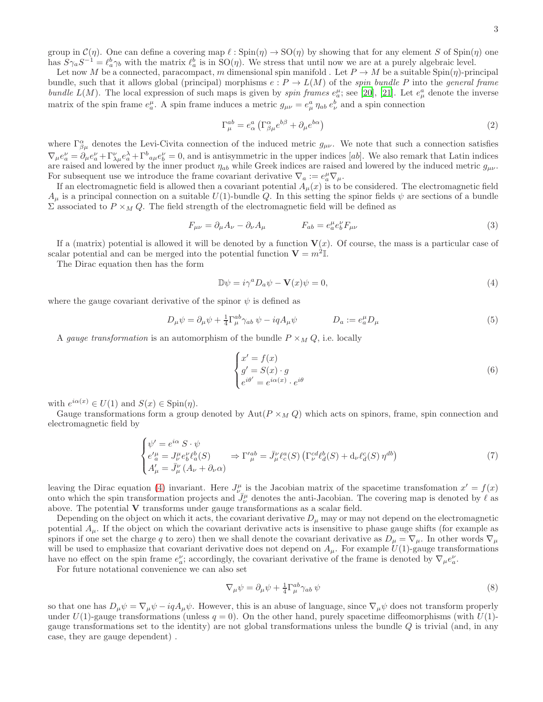group in  $\mathcal{C}(\eta)$ . One can define a covering map  $\ell : \operatorname{Spin}(\eta) \to \operatorname{SO}(\eta)$  by showing that for any element S of  $\operatorname{Spin}(\eta)$  one has  $S\gamma_a S^{-1} = \ell_a^b \gamma_b$  with the matrix  $\ell_a^b$  is in  $SO(\eta)$ . We stress that until now we are at a purely algebraic level.

Let now M be a connected, paracompact, m dimensional spin manifold . Let  $P \to M$  be a suitable Spin( $\eta$ )-principal bundle, such that it allows global (principal) morphisms  $e : P \to L(M)$  of the spin bundle P into the general frame bundle  $L(M)$ . The local expression of such maps is given by *spin frames*  $e_a^{\mu}$ ; see [\[20\]](#page-20-18), [\[21](#page-20-19)]. Let  $e_{\mu}^{a}$  denote the inverse matrix of the spin frame  $e_a^{\mu}$ . A spin frame induces a metric  $g_{\mu\nu} = e_{\mu}^a \eta_{ab} e_{\nu}^b$  and a spin connection

$$
\Gamma_{\mu}^{ab} = e_{\alpha}^{a} \left( \Gamma_{\beta \mu}^{\alpha} e^{b\beta} + \partial_{\mu} e^{b\alpha} \right)
$$
\n<sup>(2)</sup>

where  $\Gamma^{\alpha}_{\beta\mu}$  denotes the Levi-Civita connection of the induced metric  $g_{\mu\nu}$ . We note that such a connection satisfies  $\nabla_{\mu}e^{\nu}_{a} = \partial_{\mu}e^{\nu}_{a} + \Gamma^{\nu}_{\lambda\mu}e^{\lambda}_{a} + \Gamma^{b}_{a\mu}e^{\nu}_{b} = 0$ , and is antisymmetric in the upper indices [ab]. We also remark that Latin indices are raised and lowered by the inner product  $\eta_{ab}$  while Greek indices are raised and lowered by the induced metric  $g_{\mu\nu}$ . For subsequent use we introduce the frame covariant derivative  $\nabla_a := e_a^{\mu} \nabla_{\mu}$ .

If an electromagnetic field is allowed then a covariant potential  $A_\mu(x)$  is to be considered. The electromagnetic field  $A_\mu$  is a principal connection on a suitable  $U(1)$ -bundle Q. In this setting the spinor fields  $\psi$  are sections of a bundle  $\Sigma$  associated to  $P \times_M Q$ . The field strength of the electromagnetic field will be defined as

$$
F_{\mu\nu} = \partial_{\mu}A_{\nu} - \partial_{\nu}A_{\mu} \qquad F_{ab} = e^{\mu}_{a}e^{\nu}_{b}F_{\mu\nu}
$$
\n(3)

If a (matrix) potential is allowed it will be denoted by a function  $V(x)$ . Of course, the mass is a particular case of scalar potential and can be merged into the potential function  $V = m^2I$ .

The Dirac equation then has the form

<span id="page-2-0"></span>
$$
\mathbb{D}\psi = i\gamma^a D_a \psi - \mathbf{V}(x)\psi = 0,\tag{4}
$$

where the gauge covariant derivative of the spinor  $\psi$  is defined as

<span id="page-2-1"></span>
$$
D_{\mu}\psi = \partial_{\mu}\psi + \frac{1}{4}\Gamma_{\mu}^{ab}\gamma_{ab}\psi - iqA_{\mu}\psi \qquad D_{a} := e_{a}^{\mu}D_{\mu}
$$
\n
$$
(5)
$$

A gauge transformation is an automorphism of the bundle  $P \times_M Q$ , i.e. locally

$$
\begin{cases}\nx' = f(x) \\
g' = S(x) \cdot g \\
e^{i\theta'} = e^{i\alpha(x)} \cdot e^{i\theta}\n\end{cases}
$$
\n(6)

with  $e^{i\alpha(x)} \in U(1)$  and  $S(x) \in \text{Spin}(\eta)$ .

Gauge transformations form a group denoted by  $Aut(P \times_M Q)$  which acts on spinors, frame, spin connection and electromagnetic field by

$$
\begin{cases}\n\psi' = e^{i\alpha} S \cdot \psi \\
e'^{\mu}_{a} = J^{\mu}_{\nu} e^{\nu}_{b} \ell^{b}_{a}(S) \qquad \Rightarrow \Gamma'^{ab}_{\mu} = \bar{J}^{\nu}_{\mu} \ell^{a}_{c}(S) \left( \Gamma^{cd}_{\nu} \ell^{b}_{d}(S) + \mathrm{d}_{\nu} \ell^{c}_{d}(S) \eta^{db} \right) \\
A'_{\mu} = \bar{J}^{\nu}_{\mu} \left( A_{\nu} + \partial_{\nu} \alpha \right)\n\end{cases} \tag{7}
$$

leaving the Dirac equation [\(4\)](#page-2-0) invariant. Here  $J_{\nu}^{\mu}$  is the Jacobian matrix of the spacetime transfomation  $x' = f(x)$ onto which the spin transformation projects and  $\bar{J}_{\nu}^{\mu}$  denotes the anti-Jacobian. The covering map is denoted by  $\ell$  as above. The potential V transforms under gauge transformations as a scalar field.

Depending on the object on which it acts, the covariant derivative  $D_{\mu}$  may or may not depend on the electromagnetic potential  $A_\mu$ . If the object on which the covariant derivative acts is insensitive to phase gauge shifts (for example as spinors if one set the charge q to zero) then we shall denote the covariant derivative as  $D_\mu = \nabla_\mu$ . In other words  $\nabla_\mu$ will be used to emphasize that covariant derivative does not depend on  $A_\mu$ . For example  $U(1)$ -gauge transformations have no effect on the spin frame  $e_a^{\nu}$ ; accordingly, the covariant derivative of the frame is denoted by  $\nabla_{\mu} e_a^{\nu}$ .

For future notational convenience we can also set

$$
\nabla_{\mu}\psi = \partial_{\mu}\psi + \frac{1}{4}\Gamma_{\mu}^{ab}\gamma_{ab}\,\psi\tag{8}
$$

so that one has  $D_{\mu}\psi = \nabla_{\mu}\psi - iqA_{\mu}\psi$ . However, this is an abuse of language, since  $\nabla_{\mu}\psi$  does not transform properly under  $U(1)$ -gauge transformations (unless  $q = 0$ ). On the other hand, purely spacetime diffeomorphisms (with  $U(1)$ gauge transformations set to the identity) are not global transformations unless the bundle  $Q$  is trivial (and, in any case, they are gauge dependent) .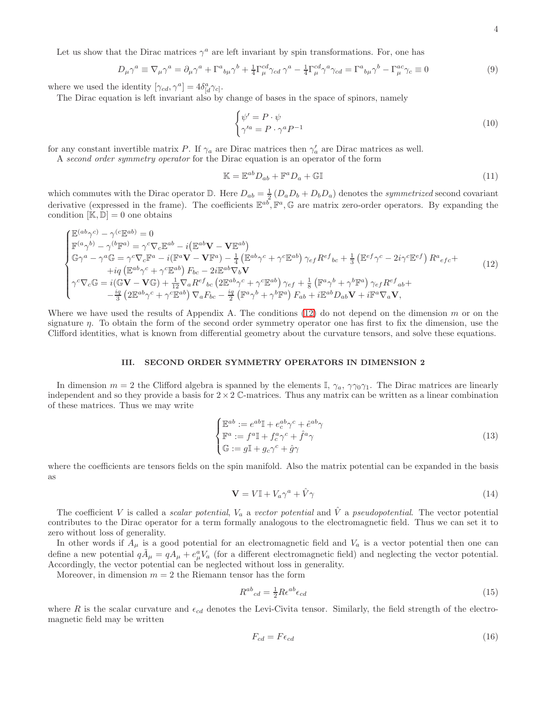Let us show that the Dirac matrices  $\gamma^a$  are left invariant by spin transformations. For, one has

$$
D_{\mu}\gamma^{a} \equiv \nabla_{\mu}\gamma^{a} = \partial_{\mu}\gamma^{a} + \Gamma^{a}{}_{b\mu}\gamma^{b} + \frac{1}{4}\Gamma^{cd}_{\mu}\gamma_{cd}\gamma^{a} - \frac{1}{4}\Gamma^{cd}_{\mu}\gamma^{a}\gamma_{cd} = \Gamma^{a}{}_{b\mu}\gamma^{b} - \Gamma^{ac}_{\mu}\gamma_{c} \equiv 0
$$
\n(9)

where we used the identity  $[\gamma_{cd}, \gamma^a] = 4\delta^a_{[d}\gamma_{c]}$ .

The Dirac equation is left invariant also by change of bases in the space of spinors, namely

$$
\begin{cases} \psi' = P \cdot \psi \\ \gamma'^a = P \cdot \gamma^a P^{-1} \end{cases} \tag{10}
$$

for any constant invertible matrix P. If  $\gamma_a$  are Dirac matrices then  $\gamma'_a$  are Dirac matrices as well.

A second order symmetry operator for the Dirac equation is an operator of the form

<span id="page-3-1"></span>
$$
\mathbb{K} = \mathbb{E}^{ab} D_{ab} + \mathbb{F}^a D_a + \mathbb{G} \mathbb{I}
$$
\n(11)

which commutes with the Dirac operator  $\mathbb{D}$ . Here  $D_{ab} = \frac{1}{2} (D_a D_b + D_b D_a)$  denotes the *symmetrized* second covariant derivative (expressed in the frame). The coefficients  $\mathbb{E}^{ab}$ ,  $\mathbb{F}^a$ ,  $\mathbb{G}$  are matrix zero-order operators. By expanding the condition  $[\mathbb{K}, \mathbb{D}] = 0$  one obtains

<span id="page-3-0"></span>
$$
\begin{cases}\n\mathbb{E}^{(ab}\gamma^{c)} - \gamma^{(c}\mathbb{E}^{ab}) = 0 \\
\mathbb{F}^{(a}\gamma^{b)} - \gamma^{(b}\mathbb{F}^{a)} = \gamma^{c}\nabla_{c}\mathbb{E}^{ab} - i(\mathbb{E}^{ab}\mathbf{V} - \mathbf{V}\mathbb{E}^{ab}) \\
\mathbb{G}\gamma^{a} - \gamma^{a}\mathbb{G} = \gamma^{c}\nabla_{c}\mathbb{F}^{a} - i(\mathbb{F}^{a}\mathbf{V} - \mathbf{V}\mathbb{F}^{a}) - \frac{1}{4}(\mathbb{E}^{ab}\gamma^{c} + \gamma^{c}\mathbb{E}^{ab})\gamma_{ef}R^{ef}{}_{bc} + \frac{1}{3}(\mathbb{E}^{ef}\gamma^{c} - 2i\gamma^{c}\mathbb{E}^{ef})R^{a}{}_{ef}c + \frac{1}{4}(\mathbb{E}^{ab}\gamma^{c} + \gamma^{c}\mathbb{E}^{ab})F_{bc} - 2i\mathbb{E}^{ab}\nabla_{b}\mathbf{V} \\
\gamma^{c}\nabla_{c}\mathbb{G} = i(\mathbb{G}\mathbf{V} - \mathbf{V}\mathbb{G}) + \frac{1}{12}\nabla_{a}R^{ef}{}_{bc} (2\mathbb{E}^{ab}\gamma^{c} + \gamma^{c}\mathbb{E}^{ab})\gamma_{ef} + \frac{1}{8}(\mathbb{F}^{a}\gamma^{b} + \gamma^{b}\mathbb{F}^{a})\gamma_{ef}R^{ef}{}_{ab} + \frac{ig}{3}(2\mathbb{E}^{ab}\gamma^{c} + \gamma^{c}\mathbb{E}^{ab})\nabla_{a}F_{bc} - \frac{ig}{2}(\mathbb{F}^{a}\gamma^{b} + \gamma^{b}\mathbb{F}^{a})F_{ab} + i\mathbb{E}^{ab}D_{ab}\mathbf{V} + i\mathbb{F}^{a}\nabla_{a}\mathbf{V},\n\end{cases} (12)
$$

Where we have used the results of Appendix A. The conditions  $(12)$  do not depend on the dimension m or on the signature  $\eta$ . To obtain the form of the second order symmetry operator one has first to fix the dimension, use the Clifford identities, what is known from differential geometry about the curvature tensors, and solve these equations.

### III. SECOND ORDER SYMMETRY OPERATORS IN DIMENSION 2

In dimension  $m = 2$  the Clifford algebra is spanned by the elements I,  $\gamma_a$ ,  $\gamma\gamma_0\gamma_1$ . The Dirac matrices are linearly independent and so they provide a basis for  $2 \times 2$  C-matrices. Thus any matrix can be written as a linear combination of these matrices. Thus we may write

<span id="page-3-2"></span>
$$
\begin{cases}\n\mathbb{E}^{ab} := e^{ab} \mathbb{I} + e^{ab}_c \gamma^c + \hat{e}^{ab} \gamma \\
\mathbb{F}^a := f^a \mathbb{I} + f^a_c \gamma^c + \hat{f}^a \gamma \\
\mathbb{G} := g \mathbb{I} + g_c \gamma^c + \hat{g} \gamma\n\end{cases}
$$
\n(13)

where the coefficients are tensors fields on the spin manifold. Also the matrix potential can be expanded in the basis as

$$
\mathbf{V} = V \mathbb{I} + V_a \gamma^a + \hat{V} \gamma \tag{14}
$$

The coefficient V is called a *scalar potential*,  $V_a$  a *vector potential* and  $\hat{V}$  a *pseudopotential*. The vector potential contributes to the Dirac operator for a term formally analogous to the electromagnetic field. Thus we can set it to zero without loss of generality.

In other words if  $A_\mu$  is a good potential for an electromagnetic field and  $V_a$  is a vector potential then one can define a new potential  $q\tilde{A}_{\mu} = qA_{\mu} + e_{\mu}^{a}V_{a}$  (for a different electromagnetic field) and neglecting the vector potential. Accordingly, the vector potential can be neglected without loss in generality.

Moreover, in dimension  $m = 2$  the Riemann tensor has the form

$$
R^{ab}_{\ \ cd} = \frac{1}{2} R \epsilon^{ab} \epsilon_{cd} \tag{15}
$$

where R is the scalar curvature and  $\epsilon_{cd}$  denotes the Levi-Civita tensor. Similarly, the field strength of the electromagnetic field may be written

$$
F_{cd} = F \epsilon_{cd} \tag{16}
$$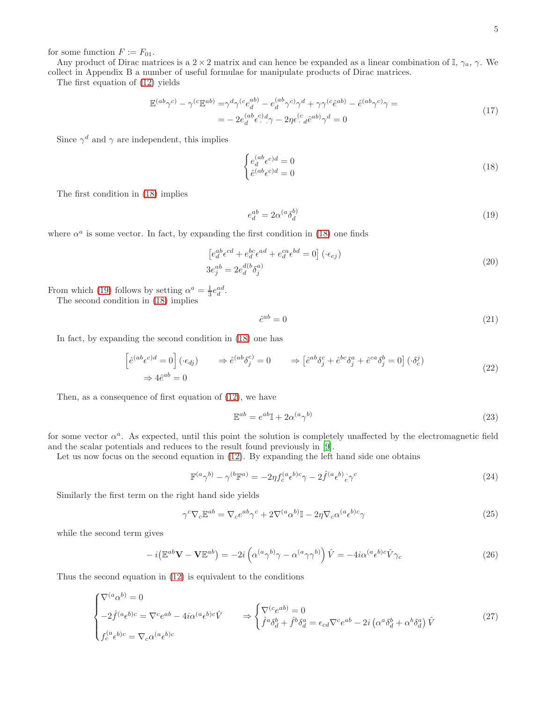for some function  $F := F_{01}$ .

Any product of Dirac matrices is a 2 × 2 matrix and can hence be expanded as a linear combination of I,  $\gamma_a$ ,  $\gamma$ . We collect in Appendix B a number of useful formulae for manipulate products of Dirac matrices.

The first equation of [\(12\)](#page-3-0) yields

$$
\mathbb{E}^{(ab}\gamma^{c)} - \gamma^{(c}\mathbb{E}^{ab)} = \gamma^d \gamma^{(c} e_d^{ab)} - e_d^{(ab}\gamma^{c)}\gamma^d + \gamma \gamma^{(c}\hat{e}^{ab)} - \hat{e}^{(ab}\gamma^{c)}\gamma =
$$
\n
$$
= -2e_d^{(ab}\epsilon^{c)}\gamma^d - 2\eta\epsilon^{(c)}\epsilon^{(ab)}\gamma^d = 0
$$
\n(17)

Since  $\gamma^d$  and  $\gamma$  are independent, this implies

<span id="page-4-0"></span>
$$
\begin{cases} e_d^{(ab}\epsilon^{c)d} = 0\\ \hat{e}^{(ab}\epsilon^{c)d} = 0 \end{cases} \tag{18}
$$

The first condition in [\(18\)](#page-4-0) implies

<span id="page-4-1"></span>
$$
e_d^{ab} = 2\alpha^{(a}\delta_d^{b)}\tag{19}
$$

where  $\alpha^a$  is some vector. In fact, by expanding the first condition in [\(18\)](#page-4-0) one finds

$$
\left[e_d^{ab}\epsilon^{cd} + e_d^{bc}\epsilon^{ad} + e_d^{ca}\epsilon^{bd} = 0\right] (\cdot \epsilon_{cj})
$$
  
\n
$$
3e_j^{ab} = 2e_d^{d(b}\delta_j^{a)}
$$
\n(20)

From which [\(19\)](#page-4-1) follows by setting  $\alpha^a = \frac{1}{3} e_d^{ad}$ .

The second condition in [\(18\)](#page-4-0) implies

$$
\hat{e}^{ab} = 0 \tag{21}
$$

In fact, by expanding the second condition in [\(18\)](#page-4-0) one has

$$
\left[\hat{e}^{(ab}\epsilon^{c)d} = 0\right](\cdot \epsilon_{dj}) \qquad \Rightarrow \hat{e}^{(ab}\delta_j^c) = 0 \qquad \Rightarrow \left[\hat{e}^{ab}\delta_j^c + \hat{e}^{bc}\delta_j^a + \hat{e}^{ca}\delta_j^b = 0\right](\cdot \delta_c^j) \qquad (22)
$$

Then, as a consequence of first equation of [\(12\)](#page-3-0), we have

$$
\mathbb{E}^{ab} = e^{ab} \mathbb{I} + 2\alpha^{(a} \gamma^{b)} \tag{23}
$$

for some vector  $\alpha^a$ . As expected, until this point the solution is completely unaffected by the electromagnetic field and the scalar potentials and reduces to the result found previously in [\[9\]](#page-20-17).

Let us now focus on the second equation in  $(12)$ . By expanding the left hand side one obtains

$$
\mathbb{F}^{(a}\gamma^{b)} - \gamma^{(b}\mathbb{F}^{a)} = -2\eta f_c^{(a}\epsilon^{b)c}\gamma - 2\hat{f}^{(a}\epsilon^{b)}c^c\gamma^c
$$
\n(24)

Similarly the first term on the right hand side yields

$$
\gamma^{c}\nabla_{c}\mathbb{E}^{ab} = \nabla_{c}e^{ab}\gamma^{c} + 2\nabla^{(a}\alpha^{b)}\mathbb{I} - 2\eta\nabla_{c}\alpha^{(a}\epsilon^{b)c}\gamma
$$
\n(25)

while the second term gives

$$
-i(\mathbb{E}^{ab}\mathbf{V}-\mathbf{V}\mathbb{E}^{ab}) = -2i\left(\alpha^{(a}\gamma^{b)}\gamma - \alpha^{(a}\gamma\gamma^{b)}\right)\hat{V} = -4i\alpha^{(a}\epsilon^{b)c}\hat{V}\gamma_{c}
$$
\n(26)

Thus the second equation in [\(12\)](#page-3-0) is equivalent to the conditions

<span id="page-4-2"></span>
$$
\begin{cases} \nabla^{(a}\alpha^{b)} = 0 \\ \n-2\hat{f}^{(a}\epsilon^{b)c} = \nabla^{c}e^{ab} - 4i\alpha^{(a}\epsilon^{b)c}\hat{V} \n\end{cases} \Rightarrow \begin{cases} \nabla^{(c}e^{ab} = 0 \\ \hat{f}^{a}\delta^{b}_{d} + \hat{f}^{b}\delta^{a}_{d} = \epsilon_{cd}\nabla^{c}e^{ab} - 2i\left(\alpha^{a}\delta^{b}_{d} + \alpha^{b}\delta^{a}_{d}\right)\hat{V} \n\end{cases} \tag{27}
$$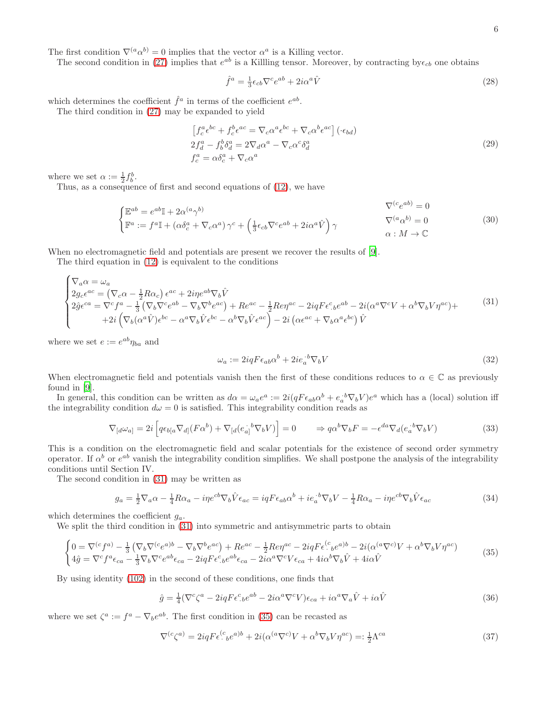The first condition  $\nabla^{(a}\alpha^{b)} = 0$  implies that the vector  $\alpha^{a}$  is a Killing vector.

The second condition in [\(27\)](#page-4-2) implies that  $e^{ab}$  is a Killling tensor. Moreover, by contracting by  $\epsilon_{cb}$  one obtains

$$
\hat{f}^a = \frac{1}{3} \epsilon_{cb} \nabla^c e^{ab} + 2i\alpha^a \hat{V}
$$
\n(28)

which determines the coefficient  $\hat{f}^a$  in terms of the coefficient  $e^{ab}$ .

The third condition in [\(27\)](#page-4-2) may be expanded to yield

$$
\left[f_c^a \epsilon^{bc} + f_c^b \epsilon^{ac} = \nabla_c \alpha^a \epsilon^{bc} + \nabla_c \alpha^b \epsilon^{ac}\right] (\cdot \epsilon_{bd})
$$
  
\n
$$
2f_d^a - f_b^b \delta_d^a = 2\nabla_d \alpha^a - \nabla_c \alpha^c \delta_d^a
$$
  
\n
$$
f_c^a = \alpha \delta_c^a + \nabla_c \alpha^a
$$
\n(29)

where we set  $\alpha := \frac{1}{2} f_b^b$ .

Thus, as a consequence of first and second equations of [\(12\)](#page-3-0), we have

$$
\begin{cases}\n\mathbb{E}^{ab} = e^{ab} \mathbb{I} + 2\alpha^{(a}\gamma^{b)} & \nabla^{(c}e^{ab}) = 0 \\
\mathbb{F}^{a} := f^{a} \mathbb{I} + (\alpha \delta_{c}^{a} + \nabla_{c}\alpha^{a})\gamma^{c} + (\frac{1}{3}\epsilon_{cb}\nabla^{c}e^{ab} + 2i\alpha^{a}\hat{V})\gamma & \nabla^{(a}\alpha^{b}) = 0 \\
\alpha : M \to \mathbb{C}\n\end{cases}
$$
\n(30)

When no electromagnetic field and potentials are present we recover the results of [\[9](#page-20-17)].

The third equation in [\(12\)](#page-3-0) is equivalent to the conditions

<span id="page-5-0"></span>
$$
\begin{cases}\n\nabla_a \alpha = \omega_a \\
2g_c \epsilon^{ac} = (\nabla_c \alpha - \frac{1}{2} R \alpha_c) \epsilon^{ac} + 2i \eta e^{ab} \nabla_b \hat{V} \\
2\hat{g} \epsilon^{ca} = \nabla^c f^a - \frac{1}{3} (\nabla_b \nabla^c e^{ab} - \nabla_b \nabla^b e^{ac}) + R e^{ac} - \frac{1}{2} R e \eta^{ac} - 2i q F \epsilon^c{}_{b} e^{ab} - 2i (\alpha^a \nabla^c V + \alpha^b \nabla_b V \eta^{ac}) + \\
+ 2i (\nabla_b (\alpha^a \hat{V}) \epsilon^{bc} - \alpha^a \nabla_b \hat{V} \epsilon^{bc} - \alpha^b \nabla_b \hat{V} \epsilon^{ac}) - 2i (\alpha \epsilon^{ac} + \nabla_b \alpha^a \epsilon^{bc}) \hat{V}\n\end{cases} \tag{31}
$$

where we set  $e := e^{ab} \eta_{ba}$  and

$$
\omega_a := 2iqF\epsilon_{ab}\alpha^b + 2ie_a^{\ b}\nabla_b V\tag{32}
$$

When electromagnetic field and potentials vanish then the first of these conditions reduces to  $\alpha \in \mathbb{C}$  as previously found in [\[9](#page-20-17)].

In general, this condition can be written as  $d\alpha = \omega_a e^a := 2i(qF\epsilon_{ab}\alpha^b + e_a^{\ b}\nabla_b V)e^a$  which has a (local) solution iff the integrability condition  $d\omega = 0$  is satisfied. This integrability condition reads as

$$
\nabla_{[d}\omega_{a]} = 2i \left[ q\epsilon_{b[a}\nabla_{d]}(F\alpha^{b}) + \nabla_{[d}(e_{a]}^{i}{}^{b}\nabla_{b}V) \right] = 0 \qquad \Rightarrow q\alpha^{b}\nabla_{b}F = -\epsilon^{da}\nabla_{d}(e_{a}^{i}{}^{b}\nabla_{b}V) \tag{33}
$$

This is a condition on the electromagnetic field and scalar potentials for the existence of second order symmetry operator. If  $\alpha^b$  or  $e^{ab}$  vanish the integrability condition simplifies. We shall postpone the analysis of the integrability conditions until Section IV.

The second condition in [\(31\)](#page-5-0) may be written as

$$
g_a = \frac{1}{2} \nabla_a \alpha - \frac{1}{4} R \alpha_a - i \eta e^{cb} \nabla_b \hat{V} \epsilon_{ac} = i q F \epsilon_{ab} \alpha^b + i e_a^{\ b} \nabla_b V - \frac{1}{4} R \alpha_a - i \eta e^{cb} \nabla_b \hat{V} \epsilon_{ac}
$$
\n
$$
\tag{34}
$$

which determines the coefficient  $g_a$ .

We split the third condition in [\(31\)](#page-5-0) into symmetric and antisymmetric parts to obtain

<span id="page-5-1"></span>
$$
\begin{cases}\n0 = \nabla^{(c} f^{a)} - \frac{1}{3} \left( \nabla_{b} \nabla^{(c} e^{a})^{b} - \nabla_{b} \nabla^{b} e^{ac} \right) + R e^{ac} - \frac{1}{2} R e \eta^{ac} - 2iqF \epsilon^{(c)} e^{ab} - 2i (\alpha^{(a} \nabla^{c}) V + \alpha^{b} \nabla_{b} V \eta^{ac}) \\
4\hat{g} = \nabla^{c} f^{a} \epsilon_{ca} - \frac{1}{3} \nabla_{b} \nabla^{c} e^{ab} \epsilon_{ca} - 2iqF \epsilon^{c} e^{ab} \epsilon_{ca} - 2ia^{a} \nabla^{c} V \epsilon_{ca} + 4ia^{b} \nabla_{b} \hat{V} + 4i\alpha \hat{V}\n\end{cases} \tag{35}
$$

By using identity [\(102\)](#page-18-0) in the second of these conditions, one finds that

$$
\hat{g} = \frac{1}{4} (\nabla^c \zeta^a - 2iqF \epsilon^c_{\ b} e^{ab} - 2i\alpha^a \nabla^c V) \epsilon_{ca} + i\alpha^a \nabla_a \hat{V} + i\alpha \hat{V}
$$
\n(36)

where we set  $\zeta^a := f^a - \nabla_b e^{ab}$ . The first condition in [\(35\)](#page-5-1) can be recasted as

<span id="page-5-2"></span>
$$
\nabla^{(c}\zeta^{a)} = 2iqF\epsilon^{(c}_{\cdot b}e^{a)b} + 2i(\alpha^{(a}\nabla^{c)}V + \alpha^{b}\nabla_{b}V\eta^{ac}) =: \frac{1}{2}\Lambda^{ca}
$$
\n(37)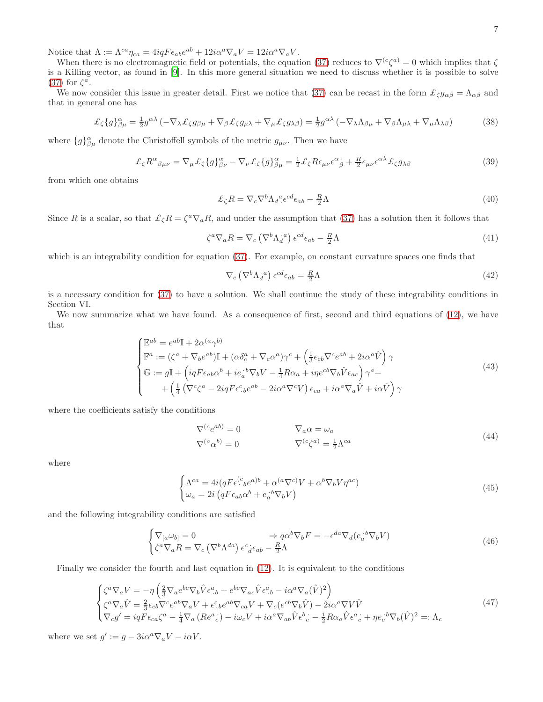Notice that  $\Lambda := \Lambda^{ca} \eta_{ca} = 4iqF \epsilon_{ab} e^{ab} + 12i\alpha^a \nabla_a V = 12i\alpha^a \nabla_a V.$ 

When there is no electromagnetic field or potentials, the equation [\(37\)](#page-5-2) reduces to  $\nabla^{(c}\zeta^{a)}=0$  which implies that  $\zeta$ is a Killing vector, as found in [\[9](#page-20-17)]. In this more general situation we need to discuss whether it is possible to solve [\(37\)](#page-5-2) for  $\zeta^a$ .

We now consider this issue in greater detail. First we notice that [\(37\)](#page-5-2) can be recast in the form  $\mathcal{L}_{\zeta} g_{\alpha\beta} = \Lambda_{\alpha\beta}$  and that in general one has

$$
\mathcal{L}_{\zeta}\{g\}_{\beta\mu}^{\alpha} = \frac{1}{2}g^{\alpha\lambda} \left( -\nabla_{\lambda}\mathcal{L}_{\zeta}g_{\beta\mu} + \nabla_{\beta}\mathcal{L}_{\zeta}g_{\mu\lambda} + \nabla_{\mu}\mathcal{L}_{\zeta}g_{\lambda\beta} \right) = \frac{1}{2}g^{\alpha\lambda} \left( -\nabla_{\lambda}\Lambda_{\beta\mu} + \nabla_{\beta}\Lambda_{\mu\lambda} + \nabla_{\mu}\Lambda_{\lambda\beta} \right) \tag{38}
$$

where  ${g}_{\beta\mu}^{\alpha}$  denote the Christoffell symbols of the metric  $g_{\mu\nu}$ . Then we have

$$
\mathcal{L}_{\zeta} R^{\alpha}{}_{\beta\mu\nu} = \nabla_{\mu} \mathcal{L}_{\zeta} \{g\}^{\alpha}{}_{\beta\nu} - \nabla_{\nu} \mathcal{L}_{\zeta} \{g\}^{\alpha}{}_{\beta\mu} = \frac{1}{2} \mathcal{L}_{\zeta} R \epsilon_{\mu\nu} \epsilon^{\alpha}{}_{\beta} + \frac{R}{2} \epsilon_{\mu\nu} \epsilon^{\alpha\lambda} \mathcal{L}_{\zeta} g_{\lambda\beta} \tag{39}
$$

from which one obtains

<span id="page-6-0"></span>
$$
\mathcal{L}_{\zeta}R = \nabla_c \nabla^b \Lambda_d{}^a \epsilon^{cd} \epsilon_{ab} - \frac{R}{2} \Lambda \tag{40}
$$

Since R is a scalar, so that  $\mathcal{L}_{\zeta}R = \zeta^a \nabla_a R$ , and under the assumption that [\(37\)](#page-5-2) has a solution then it follows that

$$
\zeta^a \nabla_a R = \nabla_c \left( \nabla^b \Lambda_d^{a} \right) \epsilon^{cd} \epsilon_{ab} - \frac{R}{2} \Lambda \tag{41}
$$

which is an integrability condition for equation [\(37\)](#page-5-2). For example, on constant curvature spaces one finds that

$$
\nabla_c \left( \nabla^b \Lambda_d^{a} \right) \epsilon^{cd} \epsilon_{ab} = \frac{R}{2} \Lambda \tag{42}
$$

is a necessary condition for [\(37\)](#page-5-2) to have a solution. We shall continue the study of these integrability conditions in Section VI.

We now summarize what we have found. As a consequence of first, second and third equations of [\(12\)](#page-3-0), we have that

$$
\begin{cases}\n\mathbb{E}^{ab} = e^{ab} \mathbb{I} + 2\alpha^{(a}\gamma^{b)} \\
\mathbb{F}^{a} := (\zeta^{a} + \nabla_{b}e^{ab})\mathbb{I} + (\alpha\delta_{c}^{a} + \nabla_{c}\alpha^{a})\gamma^{c} + (\frac{1}{3}\epsilon_{cb}\nabla^{c}e^{ab} + 2i\alpha^{a}\hat{V})\gamma \\
\mathbb{G} := g\mathbb{I} + (iqF\epsilon_{ab}\alpha^{b} + ie_{a}^{\ \ b}\nabla_{b}V - \frac{1}{4}R\alpha_{a} + ip e^{cb}\nabla_{b}\hat{V}\epsilon_{ac})\gamma^{a} + \\
&\quad + (\frac{1}{4}(\nabla^{c}\zeta^{a} - 2iqF\epsilon^{c}{}_{b}e^{ab} - 2i\alpha^{a}\nabla^{c}V)\epsilon_{ca} + i\alpha^{a}\nabla_{a}\hat{V} + i\alpha\hat{V})\gamma\n\end{cases} \tag{43}
$$

where the coefficients satisfy the conditions

$$
\nabla^{(c} e^{ab}) = 0 \qquad \nabla_a \alpha = \omega_a
$$
\n
$$
\nabla^{(a} \alpha^{b)} = 0 \qquad \nabla^{(c} \zeta^{a)} = \frac{1}{2} \Lambda^{ca} \qquad (44)
$$

where

$$
\begin{cases}\n\Lambda^{ca} = 4i(qF\epsilon^{(c}_{\cdot bc}a^{b} + \alpha^{(a}\nabla^{c)}V + \alpha^{b}\nabla_{b}V\eta^{ac}) \\
\omega_{a} = 2i(qF\epsilon_{ab}\alpha^{b} + e_{a}^{\cdot b}\nabla_{b}V)\n\end{cases}
$$
\n(45)

and the following integrability conditions are satisfied

$$
\begin{cases} \nabla_{[a}\omega_{b]} = 0 & \Rightarrow q\alpha^{b}\nabla_{b}F = -\epsilon^{da}\nabla_{d}(e_{a}^{b}\nabla_{b}V) \\ \zeta^{a}\nabla_{a}R = \nabla_{c}\left(\nabla^{b}\Lambda^{da}\right)e^{c}{}_{d}\epsilon_{ab} - \frac{R}{2}\Lambda \end{cases} \tag{46}
$$

Finally we consider the fourth and last equation in [\(12\)](#page-3-0). It is equivalent to the conditions

$$
\begin{cases}\n\zeta^{a}\nabla_{a}V = -\eta \left( \frac{2}{3}\nabla_{a}e^{bc}\nabla_{b}\hat{V}\epsilon^{a}{}_{b} + e^{bc}\nabla_{ac}\hat{V}\epsilon^{a}{}_{b} - i\alpha^{a}\nabla_{a}(\hat{V})^{2} \right) \\
\zeta^{a}\nabla_{a}\hat{V} = \frac{2}{3}\epsilon_{cb}\nabla^{c}e^{ab}\nabla_{a}V + \epsilon^{c}{}_{b}e^{ab}\nabla_{ca}V + \nabla_{c}(e^{cb}\nabla_{b}\hat{V}) - 2i\alpha^{a}\nabla V\hat{V} \\
\nabla_{c}g' = iqF\epsilon_{ca}\zeta^{a} - \frac{1}{4}\nabla_{a}(Re^{a}{}_{c}) - i\omega_{c}V + i\alpha^{a}\nabla_{ab}\hat{V}\epsilon^{b}{}_{c} - \frac{i}{2}R\alpha_{a}\hat{V}\epsilon^{a}{}_{c} + \eta e_{c}{}^{b}\nabla_{b}(\hat{V})^{2} =: \Lambda_{c}\n\end{cases}
$$
\n(47)

where we set  $g' := g - 3i\alpha^a \nabla_a V - i\alpha V$ .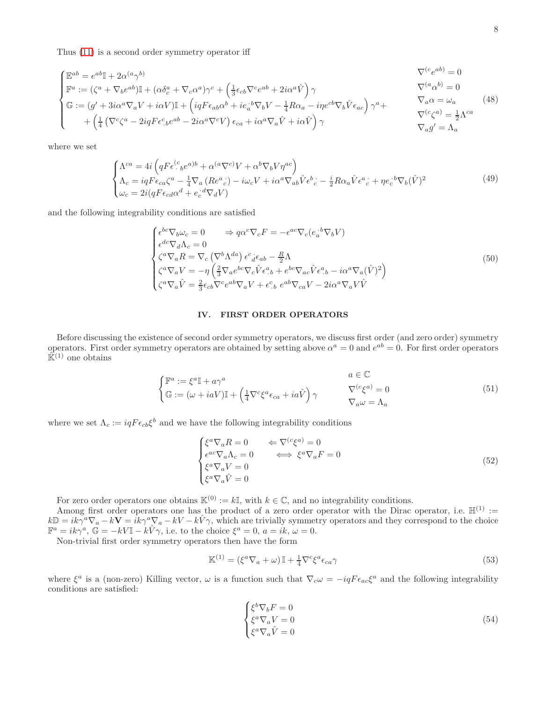Thus [\(11\)](#page-3-1) is a second order symmetry operator iff

<span id="page-7-0"></span>
$$
\begin{cases}\n\mathbb{E}^{ab} = e^{ab} \mathbb{I} + 2\alpha^{(a}\gamma^{b)} & \nabla^{(c}e^{ab}) = 0 \\
\mathbb{F}^{a} := (\zeta^{a} + \nabla_{b}e^{ab})\mathbb{I} + (\alpha\delta_{c}^{a} + \nabla_{c}\alpha^{a})\gamma^{c} + (\frac{1}{3}\epsilon_{cb}\nabla^{c}e^{ab} + 2i\alpha^{a}\hat{V})\gamma & \nabla^{(a}\alpha^{b)} = 0 \\
\mathbb{G} := (g' + 3i\alpha^{a}\nabla_{a}V + i\alpha V)\mathbb{I} + (iqF\epsilon_{ab}\alpha^{b} + ie_{a}^{\cdot b}\nabla_{b}V - \frac{1}{4}R\alpha_{a} - ip\epsilon^{cb}\nabla_{b}\hat{V}\epsilon_{ac})\gamma^{a} + \left(\frac{1}{4}(\nabla^{c}\zeta^{a} - 2iqF\epsilon^{c}_{b}e^{ab} - 2i\alpha^{a}\nabla^{c}V)\epsilon_{ca} + i\alpha^{a}\nabla_{a}\hat{V} + i\alpha\hat{V}\right)\gamma & \nabla_{a}g' = \Lambda_{a}\n\end{cases}
$$
\n(48)

where we set

$$
\begin{cases}\n\Lambda^{ca} = 4i \left( q F \epsilon^{(c}_{\cdot b} e^{a) b} + \alpha^{(a \nabla c)} V + \alpha^{b} \nabla_{b} V \eta^{ac} \right) \\
\Lambda_{c} = i q F \epsilon_{ca} \zeta^{a} - \frac{1}{4} \nabla_{a} \left( R e^{a}{}_{c} \right) - i \omega_{c} V + i \alpha^{a} \nabla_{ab} \hat{V} \epsilon^{b}{}_{c} - \frac{i}{2} R \alpha_{a} \hat{V} \epsilon^{a}{}_{c} + \eta e_{c}{}^{b} \nabla_{b} (\hat{V})^{2} \\
\omega_{c} = 2i (q F \epsilon_{cd} \alpha^{d} + e_{c}{}^{d} \nabla_{d} V)\n\end{cases} \tag{49}
$$

and the following integrability conditions are satisfied

$$
\begin{cases}\n\epsilon^{bc}\nabla_b\omega_c = 0 & \Rightarrow q\alpha^c\nabla_c F = -\epsilon^{ac}\nabla_c(e_a^{\cdot b}\nabla_b V) \\
\epsilon^{dc}\nabla_d\Lambda_c = 0 \\
\zeta^a\nabla_a R = \nabla_c\left(\nabla^b\Lambda^{da}\right)\epsilon^c{}_d\epsilon_{ab} - \frac{R}{2}\Lambda \\
\zeta^a\nabla_a V = -\eta\left(\frac{2}{3}\nabla_a e^{bc}\nabla_c \hat{V}\epsilon^a{}_{b} + e^{bc}\nabla_{ac}\hat{V}\epsilon^a{}_{b} - i\alpha^a\nabla_a(\hat{V})^2\right) \\
\zeta^a\nabla_a \hat{V} = \frac{2}{3}\epsilon_{cb}\nabla^c e^{ab}\nabla_a V + \epsilon^c_{\cdot b} e^{ab}\nabla_{ca} V - 2i\alpha^a\nabla_a V \hat{V}\n\end{cases}\n\tag{50}
$$

# IV. FIRST ORDER OPERATORS

Before discussing the existence of second order symmetry operators, we discuss first order (and zero order) symmetry operators. First order symmetry operators are obtained by setting above  $\alpha^a = 0$  and  $e^{ab} = 0$ . For first order operators  $\hat{\mathbb{K}}^{(1)}$  one obtains

$$
\begin{cases}\n\mathbb{F}^{a} := \xi^{a} \mathbb{I} + a\gamma^{a} & a \in \mathbb{C} \\
\mathbb{G} := (\omega + iaV)\mathbb{I} + \left(\frac{1}{4}\nabla^{c}\xi^{a}\epsilon_{ca} + ia\hat{V}\right)\gamma & \nabla^{(c}\xi^{a)} = 0 \\
\nabla_{a}\omega = \Lambda_{a} & \n\end{cases}
$$
\n(51)

where we set  $\Lambda_c := iqF\epsilon_{cb}\xi^b$  and we have the following integrability conditions

$$
\begin{cases}\n\xi^a \nabla_a R = 0 & \Leftarrow \nabla^{(c} \xi^a) = 0 \\
\epsilon^{ac} \nabla_a \Lambda_c = 0 & \iff \xi^a \nabla_a F = 0 \\
\xi^a \nabla_a V = 0 & (\nabla_a \hat{V}) = 0\n\end{cases} \tag{52}
$$

For zero order operators one obtains  $\mathbb{K}^{(0)} := k\mathbb{I}$ , with  $k \in \mathbb{C}$ , and no integrability conditions.

Among first order operators one has the product of a zero order operator with the Dirac operator, i.e.  $\mathbb{H}^{(1)}$  :=  $k\mathbb{D} = ik\gamma^a \nabla_a - k\mathbf{V} = ik\gamma^a \nabla_a - kV - k\hat{V}\gamma$ , which are trivially symmetry operators and they correspond to the choice  $\mathbb{F}^a = ik\gamma^a$ ,  $\mathbb{G} = -kV\mathbb{I} - k\hat{V}\gamma$ , i.e. to the choice  $\xi^a = 0$ ,  $a = ik$ ,  $\omega = 0$ .

Non-trivial first order symmetry operators then have the form

<span id="page-7-2"></span>
$$
\mathbb{K}^{(1)} = (\xi^a \nabla_a + \omega) \mathbb{I} + \frac{1}{4} \nabla^c \xi^a \epsilon_{ca} \gamma \tag{53}
$$

where  $\xi^a$  is a (non-zero) Killing vector,  $\omega$  is a function such that  $\nabla_c \omega = -iqF \epsilon_{ac} \xi^a$  and the following integrability conditions are satisfied:

<span id="page-7-1"></span>
$$
\begin{cases} \xi^b \nabla_b F = 0 \\ \xi^a \nabla_a V = 0 \\ \xi^a \nabla_a \hat{V} = 0 \end{cases}
$$
 (54)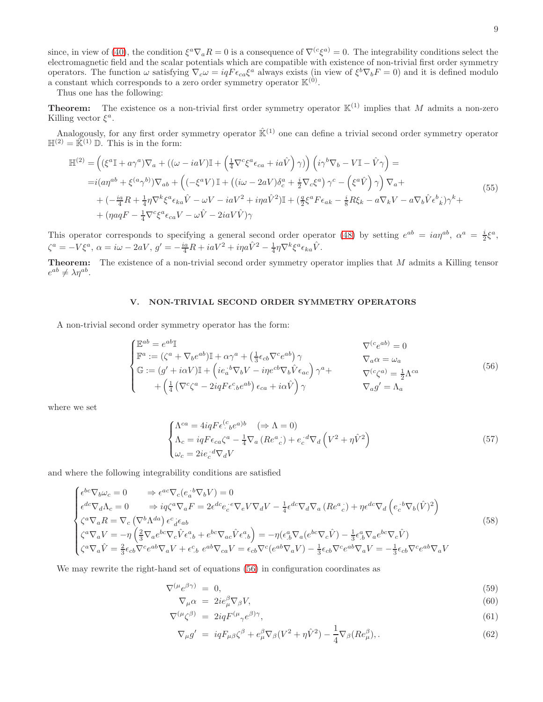since, in view of [\(40\)](#page-6-0), the condition  $\xi^a \nabla_a R = 0$  is a consequence of  $\nabla^{(c}\xi^{a)} = 0$ . The integrability conditions select the electromagnetic field and the scalar potentials which are compatible with existence of non-trivial first order symmetry operators. The function  $\omega$  satisfying  $\nabla_c \omega = iqF\epsilon_{ca}\xi^a$  always exists (in view of  $\xi^b \nabla_b F = 0$ ) and it is defined modulo a constant which corresponds to a zero order symmetry operator  $\mathbb{K}^{(0)}$ .

Thus one has the following:

**Theorem:** The existence os a non-trivial first order symmetry operator  $\mathbb{K}^{(1)}$  implies that M admits a non-zero Killing vector  $\xi^a$ .

Analogously, for any first order symmetry operator  $\mathbb{R}^{(1)}$  one can define a trivial second order symmetry operator  $\mathbb{H}^{(2)} = \hat{\mathbb{K}}^{(1)} \mathbb{D}$ . This is in the form:

$$
\mathbb{H}^{(2)} = \left( (\xi^a \mathbb{I} + a\gamma^a) \nabla_a + ((\omega - iaV)\mathbb{I} + \left(\frac{1}{4}\nabla^c \xi^a \epsilon_{ca} + ia\hat{V}\right) \gamma) \right) \left( i\gamma^b \nabla_b - V\mathbb{I} - \hat{V}\gamma \right) =
$$
\n
$$
= i(a\eta^{ab} + \xi^{(a}\gamma^{b)}) \nabla_{ab} + \left( (-\xi^a V)\mathbb{I} + ((i\omega - 2aV)\delta^a_c + \frac{i}{2}\nabla_c \xi^a) \gamma^c - \left(\xi^a \hat{V}\right) \gamma \right) \nabla_a +
$$
\n
$$
+ \left( -\frac{ia}{4}R + \frac{1}{4}\eta \nabla^k \xi^a \epsilon_{ka} \hat{V} - \omega V - iaV^2 + i\eta a \hat{V}^2 \right) \mathbb{I} + \left( \frac{a}{2}\xi^a F \epsilon_{ak} - \frac{i}{8}R\xi_k - a\nabla_k V - a\nabla_b \hat{V} \epsilon^b \right) \gamma^k +
$$
\n
$$
+ (\eta aqF - \frac{1}{4}\nabla^c \xi^a \epsilon_{ca} V - \omega \hat{V} - 2iaV\hat{V})\gamma
$$
\n(55)

This operator corresponds to specifying a general second order operator [\(48\)](#page-7-0) by setting  $e^{ab} = ia\eta^{ab}$ ,  $\alpha^a = \frac{i}{2}\xi^a$ ,  $\zeta^a = -V\xi^a, \ \alpha = i\omega - 2aV, \ g' = -\frac{ia}{4}R + iaV^2 + i\eta a\hat{V}^2 - \frac{1}{4}\eta\nabla^k\xi^a\epsilon_{ka}\hat{V}.$ 

Theorem: The existence of a non-trivial second order symmetry operator implies that M admits a Killing tensor  $e^{ab} \neq \lambda \eta^{ab}.$ 

# V. NON-TRIVIAL SECOND ORDER SYMMETRY OPERATORS

A non-trivial second order symmetry operator has the form:

<span id="page-8-0"></span>
$$
\begin{cases}\n\mathbb{E}^{ab} = e^{ab} \mathbb{I} & \nabla^{(c} e^{ab}) = 0 \\
\mathbb{F}^{a} := (\zeta^{a} + \nabla_{b} e^{ab}) \mathbb{I} + \alpha \gamma^{a} + (\frac{1}{3} \epsilon_{cb} \nabla^{c} e^{ab}) \gamma & \nabla_{a} \alpha = \omega_{a} \\
\mathbb{G} := (g' + i \alpha V) \mathbb{I} + (ie_{a}^{\cdot b} \nabla_{b} V - i \eta e^{cb} \nabla_{b} \hat{V} \epsilon_{ac}) \gamma^{a} + \nabla^{(c} \zeta^{a)} = \frac{1}{2} \Lambda^{ca} \\
&+ (\frac{1}{4} (\nabla^{c} \zeta^{a} - 2i q F \epsilon^{c}{}_{b} e^{ab}) \epsilon_{ca} + i \alpha \hat{V}) \gamma & \nabla_{a} g' = \Lambda_{a}\n\end{cases}
$$
\n(56)

where we set

$$
\begin{cases}\n\Lambda^{ca} = 4iqF\epsilon^{(c}_{\cdot bc}e^{a)b} & (\Rightarrow \Lambda = 0) \\
\Lambda_c = iqF\epsilon_{ca}\zeta^a - \frac{1}{4}\nabla_a\left(Re^a{}^c_c\right) + e^{\cdot d}_c\nabla_d\left(V^2 + \eta\hat{V}^2\right) \\
\omega_c = 2ie^{\cdot d}_c\nabla_dV\n\end{cases}
$$
\n(57)

and where the following integrability conditions are satisfied

<span id="page-8-2"></span>
$$
\begin{cases}\n\epsilon^{bc}\nabla_b\omega_c = 0 & \Rightarrow \epsilon^{ac}\nabla_c(e_a^{\cdot b}\nabla_b V) = 0 \\
\epsilon^{dc}\nabla_d\Lambda_c = 0 & \Rightarrow iq\zeta^a\nabla_a F = 2\epsilon^{dc}e_c^{\cdot c}\nabla_e V\nabla_d V - \frac{1}{4}\epsilon^{dc}\nabla_d\nabla_a (Re^a{}_c) + \eta\epsilon^{dc}\nabla_d \left(e_c^{\cdot b}\nabla_b(\hat{V})^2\right) \\
\zeta^a\nabla_a R = \nabla_c\left(\nabla^b\Lambda^{da}\right)e^c{}_d\epsilon_{ab} \\
\zeta^a\nabla_a V = -\eta\left(\frac{2}{3}\nabla_a e^{bc}\nabla_c \hat{V}\epsilon^a_{\cdot b} + e^{bc}\nabla_{ac}\hat{V}\epsilon^a_{\cdot b}\right) = -\eta(\epsilon^a_{\cdot b}\nabla_a(e^{bc}\nabla_c \hat{V}) - \frac{1}{3}\epsilon^a_{\cdot b}\nabla_a e^{bc}\nabla_c \hat{V}) \\
\zeta^a\nabla_a \hat{V} = \frac{2}{3}\epsilon_{cb}\nabla^c e^{ab}\nabla_a V + \epsilon^c_{\cdot b} e^{ab}\nabla_{ca} V = \epsilon_{cb}\nabla^c(e^{ab}\nabla_a V) - \frac{1}{3}\epsilon_{cb}\nabla^c e^{ab}\nabla_a V = -\frac{1}{3}\epsilon_{cb}\nabla^c e^{ab}\nabla_a V\n\end{cases} \tag{58}
$$

We may rewrite the right-hand set of equations [\(56\)](#page-8-0) in configuration coordinates as

<span id="page-8-1"></span>
$$
\nabla^{(\mu} e^{\beta \gamma)} = 0, \tag{59}
$$

$$
\nabla_{\mu}\alpha = 2ie^{\beta}_{\mu}\nabla_{\beta}V,\tag{60}
$$

$$
\nabla^{(\mu}\zeta^{\beta)} = 2iqF^{(\mu}_{\gamma}e^{\beta)\gamma},\tag{61}
$$

$$
\nabla_{\mu}g' = iqF_{\mu\beta}\zeta^{\beta} + e^{\beta}_{\mu}\nabla_{\beta}(V^{2} + \eta\hat{V}^{2}) - \frac{1}{4}\nabla_{\beta}(Re^{\beta}_{\mu}),
$$
\n(62)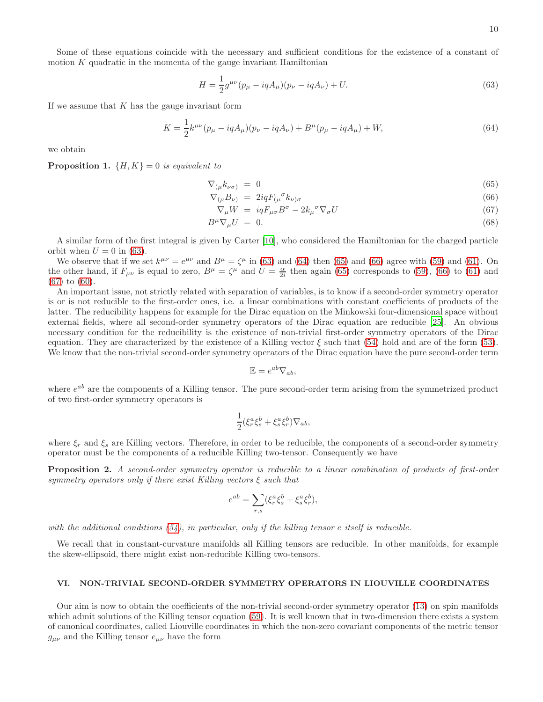Some of these equations coincide with the necessary and sufficient conditions for the existence of a constant of motion  $K$  quadratic in the momenta of the gauge invariant Hamiltonian

<span id="page-9-0"></span>
$$
H = \frac{1}{2}g^{\mu\nu}(p_{\mu} - iqA_{\mu})(p_{\nu} - iqA_{\nu}) + U.
$$
\n(63)

If we assume that  $K$  has the gauge invariant form

<span id="page-9-1"></span>
$$
K = \frac{1}{2}k^{\mu\nu}(p_{\mu} - iqA_{\mu})(p_{\nu} - iqA_{\nu}) + B^{\mu}(p_{\mu} - iqA_{\mu}) + W,
$$
\n(64)

we obtain

**Proposition 1.**  $\{H, K\} = 0$  is equivalent to

<span id="page-9-2"></span>
$$
\nabla_{(\mu} k_{\nu\sigma)} = 0 \tag{65}
$$

$$
\nabla_{(\mu}B_{\nu)} = 2iqF_{(\mu}{}^{\sigma}k_{\nu)\sigma} \tag{66}
$$

$$
\nabla_{\mu} W = i q F_{\mu\sigma} B^{\sigma} - 2 k_{\mu}{}^{\sigma} \nabla_{\sigma} U \tag{67}
$$

$$
B^{\mu}\nabla_{\mu}U = 0. \tag{68}
$$

A similar form of the first integral is given by Carter [\[10\]](#page-20-20), who considered the Hamiltonian for the charged particle orbit when  $U = 0$  in [\(63\)](#page-9-0).

We observe that if we set  $k^{\mu\nu} = e^{\mu\nu}$  and  $B^{\mu} = \zeta^{\mu}$  in [\(63\)](#page-9-0) and [\(64\)](#page-9-1) then [\(65\)](#page-9-2) and [\(66\)](#page-9-2) agree with [\(59\)](#page-8-1) and [\(61\)](#page-8-1). On the other hand, if  $F_{\mu\nu}$  is equal to zero,  $B^{\mu} = \zeta^{\mu}$  and  $U = \frac{\alpha}{2i}$  then again [\(65\)](#page-9-2) corresponds to [\(59\)](#page-8-1), [\(66\)](#page-9-2) to [\(61\)](#page-8-1) and [\(67\)](#page-9-2) to [\(60\)](#page-8-1).

An important issue, not strictly related with separation of variables, is to know if a second-order symmetry operator is or is not reducible to the first-order ones, i.e. a linear combinations with constant coefficients of products of the latter. The reducibility happens for example for the Dirac equation on the Minkowski four-dimensional space without external fields, where all second-order symmetry operators of the Dirac equation are reducible [\[25\]](#page-20-14). An obvious necessary condition for the reducibility is the existence of non-trivial first-order symmetry operators of the Dirac equation. They are characterized by the existence of a Killing vector  $\xi$  such that [\(54\)](#page-7-1) hold and are of the form [\(53\)](#page-7-2). We know that the non-trivial second-order symmetry operators of the Dirac equation have the pure second-order term

$$
\mathbb{E}=e^{ab}\nabla_{ab},
$$

where  $e^{ab}$  are the components of a Killing tensor. The pure second-order term arising from the symmetrized product of two first-order symmetry operators is

$$
\frac{1}{2}(\xi_r^a \xi_s^b + \xi_s^a \xi_r^b) \nabla_{ab},
$$

where  $\xi_r$  and  $\xi_s$  are Killing vectors. Therefore, in order to be reducible, the components of a second-order symmetry operator must be the components of a reducible Killing two-tensor. Consequently we have

Proposition 2. A second-order symmetry operator is reducible to a linear combination of products of first-order symmetry operators only if there exist Killing vectors  $\xi$  such that

$$
e^{ab} = \sum_{r,s} (\xi_r^a \xi_s^b + \xi_s^a \xi_r^b),
$$

with the additional conditions  $(54)$ , in particular, only if the killing tensor e itself is reducible.

We recall that in constant-curvature manifolds all Killing tensors are reducible. In other manifolds, for example the skew-ellipsoid, there might exist non-reducible Killing two-tensors.

#### VI. NON-TRIVIAL SECOND-ORDER SYMMETRY OPERATORS IN LIOUVILLE COORDINATES

Our aim is now to obtain the coefficients of the non-trivial second-order symmetry operator [\(13\)](#page-3-2) on spin manifolds which admit solutions of the Killing tensor equation [\(59\)](#page-8-1). It is well known that in two-dimension there exists a system of canonical coordinates, called Liouville coordinates in which the non-zero covariant components of the metric tensor  $g_{\mu\nu}$  and the Killing tensor  $e_{\mu\nu}$  have the form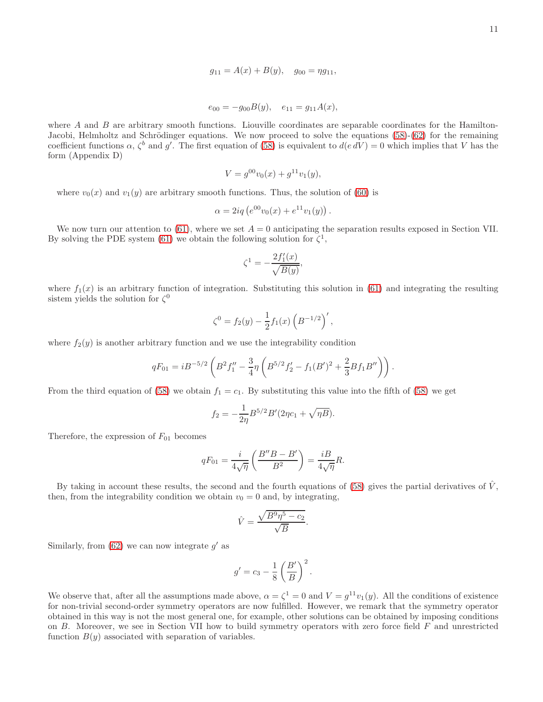$$
g_{11} = A(x) + B(y), \quad g_{00} = \eta g_{11},
$$

$$
e_{00} = -g_{00}B(y), \quad e_{11} = g_{11}A(x),
$$

where  $A$  and  $B$  are arbitrary smooth functions. Liouville coordinates are separable coordinates for the Hamilton-Jacobi, Helmholtz and Schrödinger equations. We now proceed to solve the equations [\(58\)](#page-8-2)-[\(62\)](#page-8-1) for the remaining coefficient functions  $\alpha$ ,  $\zeta^b$  and  $g'$ . The first equation of [\(58\)](#page-8-2) is equivalent to  $d(e dV) = 0$  which implies that V has the form (Appendix D)

$$
V = g^{00}v_0(x) + g^{11}v_1(y),
$$

where  $v_0(x)$  and  $v_1(y)$  are arbitrary smooth functions. Thus, the solution of [\(60\)](#page-8-1) is

$$
\alpha = 2iq \left( e^{00} v_0(x) + e^{11} v_1(y) \right).
$$

We now turn our attention to [\(61\)](#page-8-1), where we set  $A = 0$  anticipating the separation results exposed in Section VII. By solving the PDE system [\(61\)](#page-8-1) we obtain the following solution for  $\zeta^1$ ,

$$
\zeta^1 = -\frac{2f_1'(x)}{\sqrt{B(y)}},
$$

where  $f_1(x)$  is an arbitrary function of integration. Substituting this solution in [\(61\)](#page-8-1) and integrating the resulting sistem yields the solution for  $\zeta^0$ 

$$
\zeta^0 = f_2(y) - \frac{1}{2} f_1(x) \left( B^{-1/2} \right)',
$$

where  $f_2(y)$  is another arbitrary function and we use the integrability condition

$$
qF_{01} = iB^{-5/2} \left( B^2 f_1'' - \frac{3}{4} \eta \left( B^{5/2} f_2' - f_1 (B')^2 + \frac{2}{3} B f_1 B'' \right) \right).
$$

From the third equation of [\(58\)](#page-8-2) we obtain  $f_1 = c_1$ . By substituting this value into the fifth of (58) we get

$$
f_2 = -\frac{1}{2\eta} B^{5/2} B'(2\eta c_1 + \sqrt{\eta B}).
$$

Therefore, the expression of  $F_{01}$  becomes

$$
qF_{01} = \frac{i}{4\sqrt{\eta}} \left( \frac{B''B - B'}{B^2} \right) = \frac{iB}{4\sqrt{\eta}} R.
$$

By taking in account these results, the second and the fourth equations of [\(58\)](#page-8-2) gives the partial derivatives of  $\hat{V}$ , then, from the integrability condition we obtain  $v_0 = 0$  and, by integrating,

$$
\hat{V} = \frac{\sqrt{B^9 \eta^5 - c_2}}{\sqrt{B}}.
$$

Similarly, from  $(62)$  we can now integrate  $g'$  as

$$
g' = c_3 - \frac{1}{8} \left( \frac{B'}{B} \right)^2.
$$

We observe that, after all the assumptions made above,  $\alpha = \zeta^1 = 0$  and  $V = g^{11}v_1(y)$ . All the conditions of existence for non-trivial second-order symmetry operators are now fulfilled. However, we remark that the symmetry operator obtained in this way is not the most general one, for example, other solutions can be obtained by imposing conditions on B. Moreover, we see in Section VII how to build symmetry operators with zero force field F and unrestricted function  $B(y)$  associated with separation of variables.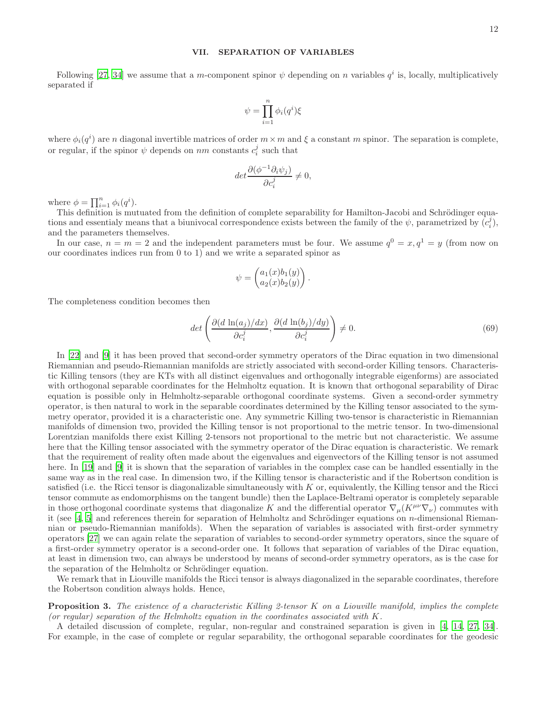# VII. SEPARATION OF VARIABLES

Following [\[27](#page-20-2), [34](#page-20-3)] we assume that a m-component spinor  $\psi$  depending on n variables  $q^i$  is, locally, multiplicatively separated if

$$
\psi = \prod_{i=1}^n \phi_i(q^i)\xi
$$

where  $\phi_i(q^i)$  are n diagonal invertible matrices of order  $m \times m$  and  $\xi$  a constant m spinor. The separation is complete, or regular, if the spinor  $\psi$  depends on  $nm$  constants  $c_i^j$  such that

$$
\det \frac{\partial (\phi^{-1}\partial_i \psi_j)}{\partial c_i^j} \neq 0,
$$

where  $\phi = \prod_{i=1}^{n} \phi_i(q^i)$ .

This definition is mutuated from the definition of complete separability for Hamilton-Jacobi and Schrödinger equations and essentialy means that a biunivocal correspondence exists between the family of the  $\psi$ , parametrized by  $(c_i^j)$ , and the parameters themselves.

In our case,  $n = m = 2$  and the independent parameters must be four. We assume  $q^0 = x, q^1 = y$  (from now on our coordinates indices run from 0 to 1) and we write a separated spinor as

$$
\psi = \begin{pmatrix} a_1(x)b_1(y) \\ a_2(x)b_2(y) \end{pmatrix}.
$$

The completeness condition becomes then

<span id="page-11-0"></span>
$$
\det\left(\frac{\partial (d\ln(a_j)/dx)}{\partial c_i^j}, \frac{\partial (d\ln(b_j)/dy)}{\partial c_i^j}\right) \neq 0.
$$
\n(69)

In [\[22](#page-20-16)] and [\[9\]](#page-20-17) it has been proved that second-order symmetry operators of the Dirac equation in two dimensional Riemannian and pseudo-Riemannian manifolds are strictly associated with second-order Killing tensors. Characteristic Killing tensors (they are KTs with all distinct eigenvalues and orthogonally integrable eigenforms) are associated with orthogonal separable coordinates for the Helmholtz equation. It is known that orthogonal separability of Dirac equation is possible only in Helmholtz-separable orthogonal coordinate systems. Given a second-order symmetry operator, is then natural to work in the separable coordinates determined by the Killing tensor associated to the symmetry operator, provided it is a characteristic one. Any symmetric Killing two-tensor is characteristic in Riemannian manifolds of dimension two, provided the Killing tensor is not proportional to the metric tensor. In two-dimensional Lorentzian manifolds there exist Killing 2-tensors not proportional to the metric but not characteristic. We assume here that the Killing tensor associated with the symmetry operator of the Dirac equation is characteristic. We remark that the requirement of reality often made about the eigenvalues and eigenvectors of the Killing tensor is not assumed here. In [\[19\]](#page-20-21) and [\[9](#page-20-17)] it is shown that the separation of variables in the complex case can be handled essentially in the same way as in the real case. In dimension two, if the Killing tensor is characteristic and if the Robertson condition is satisfied (i.e. the Ricci tensor is diagonalizable simultaneously with  $K$  or, equivalently, the Killing tensor and the Ricci tensor commute as endomorphisms on the tangent bundle) then the Laplace-Beltrami operator is completely separable in those orthogonal coordinate systems that diagonalize K and the differential operator  $\nabla_\mu (K^{\mu\nu}\nabla_\nu)$  commutes with it (see [\[4,](#page-20-4) [5](#page-20-22)] and references therein for separation of Helmholtz and Schrödinger equations on n-dimensional Riemannian or pseudo-Riemannian manifolds). When the separation of variables is associated with first-order symmetry operators [\[27\]](#page-20-2) we can again relate the separation of variables to second-order symmetry operators, since the square of a first-order symmetry operator is a second-order one. It follows that separation of variables of the Dirac equation, at least in dimension two, can always be understood by means of second-order symmetry operators, as is the case for the separation of the Helmholtz or Schrödinger equation.

We remark that in Liouville manifolds the Ricci tensor is always diagonalized in the separable coordinates, therefore the Robertson condition always holds. Hence,

**Proposition 3.** The existence of a characteristic Killing 2-tensor K on a Liouville manifold, implies the complete (or regular) separation of the Helmholtz equation in the coordinates associated with  $K$ .

A detailed discussion of complete, regular, non-regular and constrained separation is given in [\[4,](#page-20-4) [14](#page-20-23), [27,](#page-20-2) [34\]](#page-20-3). For example, in the case of complete or regular separability, the orthogonal separable coordinates for the geodesic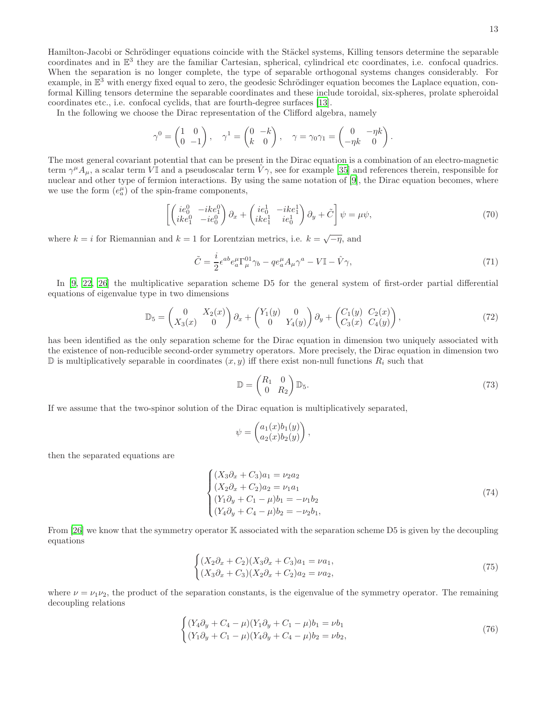Hamilton-Jacobi or Schrödinger equations coincide with the Stäckel systems, Killing tensors determine the separable coordinates and in  $\mathbb{E}^3$  they are the familiar Cartesian, spherical, cylindrical etc coordinates, i.e. confocal quadrics. When the separation is no longer complete, the type of separable orthogonal systems changes considerably. For example, in  $\mathbb{E}^3$  with energy fixed equal to zero, the geodesic Schrödinger equation becomes the Laplace equation, conformal Killing tensors determine the separable coordinates and these include toroidal, six-spheres, prolate spheroidal coordinates etc., i.e. confocal cyclids, that are fourth-degree surfaces [\[13](#page-20-24)].

In the following we choose the Dirac representation of the Clifford algebra, namely

$$
\gamma^0 = \begin{pmatrix} 1 & 0 \\ 0 & -1 \end{pmatrix}, \quad \gamma^1 = \begin{pmatrix} 0 & -k \\ k & 0 \end{pmatrix}, \quad \gamma = \gamma_0 \gamma_1 = \begin{pmatrix} 0 & -\eta k \\ -\eta k & 0 \end{pmatrix}.
$$

The most general covariant potential that can be present in the Dirac equation is a combination of an electro-magnetic term  $\gamma^{\mu}A_{\mu}$ , a scalar term  $\hat{V}$  and a pseudoscalar term  $\hat{V}\gamma$ , see for example [\[35\]](#page-20-25) and references therein, responsible for nuclear and other type of fermion interactions. By using the same notation of [\[9\]](#page-20-17), the Dirac equation becomes, where we use the form  $(e_a^{\mu})$  of the spin-frame components,

<span id="page-12-2"></span>
$$
\left[ \begin{pmatrix} ie_0^0 & -ike_1^0 \\ike_1^0 & -ie_0^0 \end{pmatrix} \partial_x + \begin{pmatrix} ie_0^1 & -ike_1^1 \\ike_1^1 & ie_0^1 \end{pmatrix} \partial_y + \tilde{C} \right] \psi = \mu \psi,
$$
\n(70)

where  $k = i$  for Riemannian and  $k = 1$  for Lorentzian metrics, i.e.  $k = \sqrt{-\eta}$ , and

<span id="page-12-4"></span>
$$
\tilde{C} = \frac{i}{2} \epsilon^{ab} e_a^{\mu} \Gamma_{\mu}^{01} \gamma_b - q e_a^{\mu} A_{\mu} \gamma^a - V \mathbb{I} - \hat{V} \gamma,
$$
\n(71)

In [\[9,](#page-20-17) [22](#page-20-16), [26\]](#page-20-13) the multiplicative separation scheme D5 for the general system of first-order partial differential equations of eigenvalue type in two dimensions

<span id="page-12-3"></span>
$$
\mathbb{D}_5 = \begin{pmatrix} 0 & X_2(x) \\ X_3(x) & 0 \end{pmatrix} \partial_x + \begin{pmatrix} Y_1(y) & 0 \\ 0 & Y_4(y) \end{pmatrix} \partial_y + \begin{pmatrix} C_1(y) & C_2(x) \\ C_3(x) & C_4(y) \end{pmatrix},
$$
(72)

has been identified as the only separation scheme for the Dirac equation in dimension two uniquely associated with the existence of non-reducible second-order symmetry operators. More precisely, the Dirac equation in dimension two  $\mathbb D$  is multiplicatively separable in coordinates  $(x, y)$  iff there exist non-null functions  $R_i$  such that

$$
\mathbb{D} = \begin{pmatrix} R_1 & 0 \\ 0 & R_2 \end{pmatrix} \mathbb{D}_5. \tag{73}
$$

If we assume that the two-spinor solution of the Dirac equation is multiplicatively separated,

$$
\psi = \begin{pmatrix} a_1(x)b_1(y) \\ a_2(x)b_2(y) \end{pmatrix},
$$

then the separated equations are

<span id="page-12-5"></span>
$$
\begin{cases}\n(X_3 \partial_x + C_3)a_1 = \nu_2 a_2 \\
(X_2 \partial_x + C_2)a_2 = \nu_1 a_1 \\
(Y_1 \partial_y + C_1 - \mu)b_1 = -\nu_1 b_2 \\
(Y_4 \partial_y + C_4 - \mu)b_2 = -\nu_2 b_1,\n\end{cases}
$$
\n(74)

From [\[26](#page-20-13)] we know that the symmetry operator K associated with the separation scheme D5 is given by the decoupling equations

<span id="page-12-0"></span>
$$
\begin{cases}\n(X_2 \partial_x + C_2)(X_3 \partial_x + C_3)a_1 = \nu a_1, \\
(X_3 \partial_x + C_3)(X_2 \partial_x + C_2)a_2 = \nu a_2,\n\end{cases}
$$
\n(75)

where  $\nu = \nu_1 \nu_2$ , the product of the separation constants, is the eigenvalue of the symmetry operator. The remaining decoupling relations

<span id="page-12-1"></span>
$$
\begin{cases}\n(Y_4 \partial_y + C_4 - \mu)(Y_1 \partial_y + C_1 - \mu)b_1 = \nu b_1 \\
(Y_1 \partial_y + C_1 - \mu)(Y_4 \partial_y + C_4 - \mu)b_2 = \nu b_2,\n\end{cases}
$$
\n(76)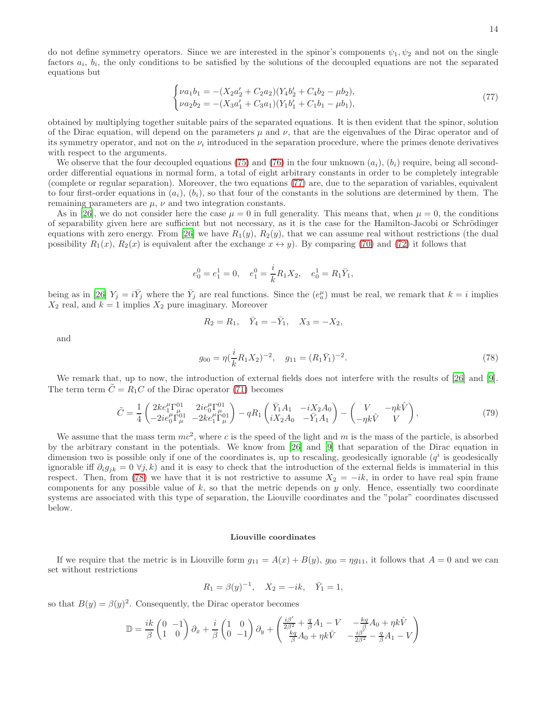14

do not define symmetry operators. Since we are interested in the spinor's components  $\psi_1, \psi_2$  and not on the single factors  $a_i$ ,  $b_i$ , the only conditions to be satisfied by the solutions of the decoupled equations are not the separated equations but

<span id="page-13-0"></span>
$$
\begin{cases}\n\nu a_1 b_1 = -(X_2 a_2' + C_2 a_2)(Y_4 b_2' + C_4 b_2 - \mu b_2), \\
\nu a_2 b_2 = -(X_3 a_1' + C_3 a_1)(Y_1 b_1' + C_1 b_1 - \mu b_1),\n\end{cases} \tag{77}
$$

obtained by multiplying together suitable pairs of the separated equations. It is then evident that the spinor, solution of the Dirac equation, will depend on the parameters  $\mu$  and  $\nu$ , that are the eigenvalues of the Dirac operator and of its symmetry operator, and not on the  $\nu_i$  introduced in the separation procedure, where the primes denote derivatives with respect to the arguments.

We observe that the four decoupled equations [\(75\)](#page-12-0) and [\(76\)](#page-12-1) in the four unknown  $(a_i)$ ,  $(b_i)$  require, being all secondorder differential equations in normal form, a total of eight arbitrary constants in order to be completely integrable (complete or regular separation). Moreover, the two equations [\(77\)](#page-13-0) are, due to the separation of variables, equivalent to four first-order equations in  $(a_i)$ ,  $(b_i)$ , so that four of the constants in the solutions are determined by them. The remaining parameters are  $\mu$ ,  $\nu$  and two integration constants.

As in [\[26](#page-20-13)], we do not consider here the case  $\mu = 0$  in full generality. This means that, when  $\mu = 0$ , the conditions of separability given here are sufficient but not necessary, as it is the case for the Hamilton-Jacobi or Schrödinger equations with zero energy. From [\[26](#page-20-13)] we have  $R_1(y)$ ,  $R_2(y)$ , that we can assume real without restrictions (the dual possibility  $R_1(x)$ ,  $R_2(x)$  is equivalent after the exchange  $x \leftrightarrow y$ . By comparing [\(70\)](#page-12-2) and [\(72\)](#page-12-3) it follows that

$$
e_0^0 = e_1^1 = 0
$$
,  $e_1^0 = \frac{i}{k} R_1 X_2$ ,  $e_0^1 = R_1 \overline{Y}_1$ ,

being as in [\[26\]](#page-20-13)  $Y_j = i\overline{Y}_j$  where the  $\overline{Y}_j$  are real functions. Since the  $(e_a^{\mu})$  must be real, we remark that  $k = i$  implies  $X_2$  real, and  $k = 1$  implies  $X_2$  pure imaginary. Moreover

$$
R_2 = R_1
$$
,  $\bar{Y}_4 = -\bar{Y}_1$ ,  $X_3 = -X_2$ ,

and

<span id="page-13-1"></span>
$$
g_{00} = \eta(\frac{i}{k}R_1X_2)^{-2}, \quad g_{11} = (R_1\bar{Y}_1)^{-2}.
$$
\n(78)

We remark that, up to now, the introduction of external fields does not interfere with the results of [\[26\]](#page-20-13) and [\[9\]](#page-20-17). The term term  $\tilde{C} = R_1 C$  of the Dirac operator [\(71\)](#page-12-4) becomes

$$
\tilde{C} = \frac{1}{4} \begin{pmatrix} 2ke_1^{\mu} \Gamma_{\mu}^{01} & 2ie_0^{\mu} \Gamma_{\mu}^{01} \\ -2ie_0^{\mu} \Gamma_{\mu}^{01} & -2ke_1^{\mu} \Gamma_{\mu}^{01} \end{pmatrix} - qR_1 \begin{pmatrix} \bar{Y}_1 A_1 & -iX_2 A_0 \\ iX_2 A_0 & -\bar{Y}_1 A_1 \end{pmatrix} - \begin{pmatrix} V & -\eta k \hat{V} \\ -\eta k \hat{V} & V \end{pmatrix},
$$
\n(79)

We assume that the mass term  $mc^2$ , where c is the speed of the light and m is the mass of the particle, is absorbed by the arbitrary constant in the potentials. We know from [\[26\]](#page-20-13) and [\[9](#page-20-17)] that separation of the Dirac equation in dimension two is possible only if one of the coordinates is, up to rescaling, geodesically ignorable  $(q^i$  is geodesically ignorable iff  $\partial_i g_{jk} = 0 \ \forall j, k$  and it is easy to check that the introduction of the external fields is immaterial in this respect. Then, from [\(78\)](#page-13-1) we have that it is not restrictive to assume  $X_2 = -ik$ , in order to have real spin frame components for any possible value of  $k$ , so that the metric depends on  $y$  only. Hence, essentially two coordinate systems are associated with this type of separation, the Liouville coordinates and the "polar" coordinates discussed below.

#### Liouville coordinates

If we require that the metric is in Liouville form  $g_{11} = A(x) + B(y)$ ,  $g_{00} = \eta g_{11}$ , it follows that  $A = 0$  and we can set without restrictions

$$
R_1 = \beta(y)^{-1}, \quad X_2 = -ik, \quad \bar{Y}_1 = 1,
$$

so that  $B(y) = \beta(y)^2$ . Consequently, the Dirac operator becomes

$$
\mathbb{D} = \frac{ik}{\beta} \begin{pmatrix} 0 & -1 \\ 1 & 0 \end{pmatrix} \partial_x + \frac{i}{\beta} \begin{pmatrix} 1 & 0 \\ 0 & -1 \end{pmatrix} \partial_y + \begin{pmatrix} \frac{i\beta'}{2\beta^2} + \frac{q}{\beta}A_1 - V & -\frac{kq}{\beta}A_0 + \eta k\hat{V} \\ \frac{kq}{\beta}A_0 + \eta k\hat{V} & -\frac{i\beta'}{2\beta^2} - \frac{q}{\beta}A_1 - V \end{pmatrix}
$$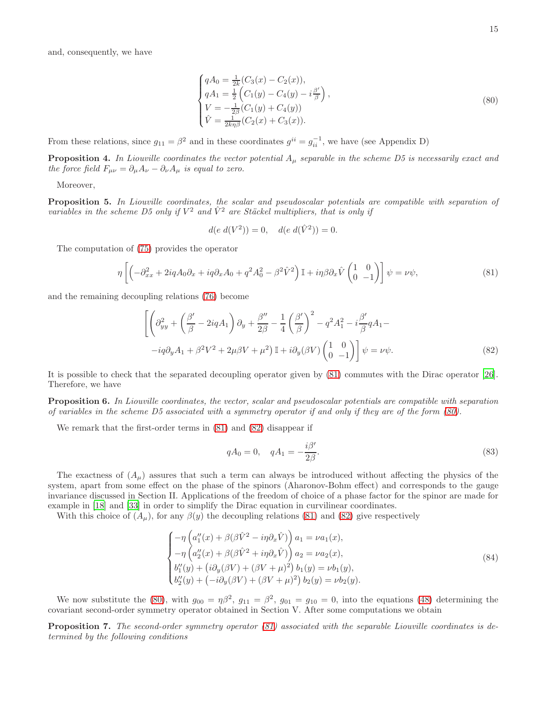and, consequently, we have

<span id="page-14-1"></span>
$$
\begin{cases}\nqA_0 = \frac{1}{2k}(C_3(x) - C_2(x)), \\
qA_1 = \frac{1}{2}\left(C_1(y) - C_4(y) - i\frac{\beta'}{\beta}\right), \\
V = -\frac{1}{2\beta}(C_1(y) + C_4(y)) \\
\hat{V} = \frac{1}{2k\eta\beta}(C_2(x) + C_3(x)).\n\end{cases} (80)
$$

From these relations, since  $g_{11} = \beta^2$  and in these coordinates  $g^{ii} = g_{ii}^{-1}$ , we have (see Appendix D)

**Proposition 4.** In Liouville coordinates the vector potential  $A_\mu$  separable in the scheme D5 is necessarily exact and the force field  $F_{\mu\nu} = \partial_{\mu}A_{\nu} - \partial_{\nu}A_{\mu}$  is equal to zero.

Moreover,

Proposition 5. In Liouville coordinates, the scalar and pseudoscalar potentials are compatible with separation of variables in the scheme D5 only if  $V^2$  and  $\hat{V}^2$  are Stäckel multipliers, that is only if

$$
d(e \, d(V^2)) = 0, \quad d(e \, d(\hat{V}^2)) = 0.
$$

The computation of [\(75\)](#page-12-0) provides the operator

<span id="page-14-0"></span>
$$
\eta \left[ \left( -\partial_{xx}^2 + 2iqA_0 \partial_x + iq\partial_x A_0 + q^2 A_0^2 - \beta^2 \hat{V}^2 \right) \mathbb{I} + i\eta \beta \partial_x \hat{V} \begin{pmatrix} 1 & 0 \\ 0 & -1 \end{pmatrix} \right] \psi = \nu \psi,
$$
\n(81)

and the remaining decoupling relations [\(76\)](#page-12-1) become

<span id="page-14-2"></span>
$$
\left[ \left( \partial_{yy}^{2} + \left( \frac{\beta'}{\beta} - 2iqA_{1} \right) \partial_{y} + \frac{\beta''}{2\beta} - \frac{1}{4} \left( \frac{\beta'}{\beta} \right)^{2} - q^{2}A_{1}^{2} - i \frac{\beta'}{\beta} q A_{1} - i q \partial_{y} A_{1} + \beta^{2} V^{2} + 2\mu \beta V + \mu^{2} \right) \mathbb{I} + i \partial_{y} (\beta V) \begin{pmatrix} 1 & 0 \\ 0 & -1 \end{pmatrix} \right] \psi = \nu \psi.
$$
\n(82)

It is possible to check that the separated decoupling operator given by [\(81\)](#page-14-0) commutes with the Dirac operator [\[26\]](#page-20-13). Therefore, we have

Proposition 6. In Liouville coordinates, the vector, scalar and pseudoscalar potentials are compatible with separation of variables in the scheme D5 associated with a symmetry operator if and only if they are of the form [\(80\)](#page-14-1).

We remark that the first-order terms in [\(81\)](#page-14-0) and [\(82\)](#page-14-2) disappear if

<span id="page-14-4"></span>
$$
qA_0 = 0, \quad qA_1 = -\frac{i\beta'}{2\beta}.
$$
 (83)

The exactness of  $(A_\mu)$  assures that such a term can always be introduced without affecting the physics of the system, apart from some effect on the phase of the spinors (Aharonov-Bohm effect) and corresponds to the gauge invariance discussed in Section II. Applications of the freedom of choice of a phase factor for the spinor are made for example in [\[18](#page-20-8)] and [\[33\]](#page-20-12) in order to simplify the Dirac equation in curvilinear coordinates.

With this choice of  $(A_\mu)$ , for any  $\beta(y)$  the decoupling relations [\(81\)](#page-14-0) and [\(82\)](#page-14-2) give respectively

<span id="page-14-3"></span>
$$
\begin{cases}\n-\eta \left(a_1''(x) + \beta(\beta \hat{V}^2 - i\eta \partial_x \hat{V})\right) a_1 = \nu a_1(x), \\
-\eta \left(a_2''(x) + \beta(\beta \hat{V}^2 + i\eta \partial_x \hat{V})\right) a_2 = \nu a_2(x), \\
b_1''(y) + \left(i\partial_y(\beta V) + (\beta V + \mu)^2\right) b_1(y) = \nu b_1(y), \\
b_2''(y) + \left(-i\partial_y(\beta V) + (\beta V + \mu)^2\right) b_2(y) = \nu b_2(y).\n\end{cases}
$$
\n(84)

We now substitute the [\(80\)](#page-14-1), with  $g_{00} = \eta \beta^2$ ,  $g_{11} = \beta^2$ ,  $g_{01} = g_{10} = 0$ , into the equations [\(48\)](#page-7-0) determining the covariant second-order symmetry operator obtained in Section V. After some computations we obtain

Proposition 7. The second-order symmetry operator [\(81\)](#page-14-0) associated with the separable Liouville coordinates is determined by the following conditions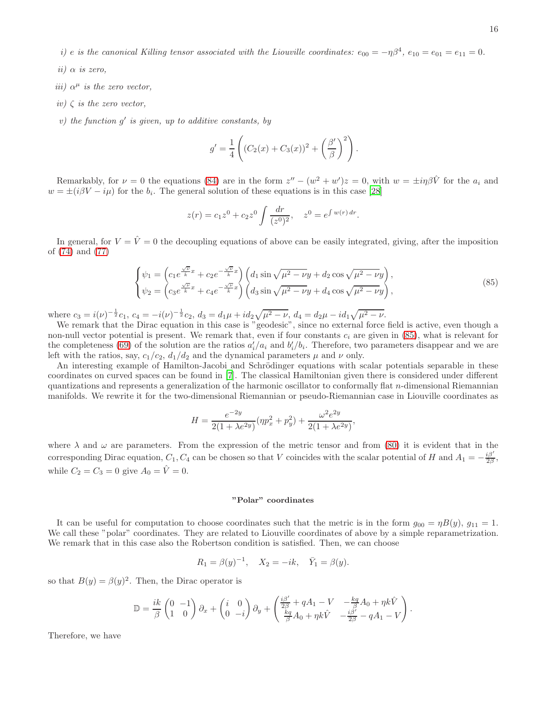i) e is the canonical Killing tensor associated with the Liouville coordinates:  $e_{00} = -\eta \beta^4$ ,  $e_{10} = e_{01} = e_{11} = 0$ .

- $ii)$   $\alpha$  is zero,
- iii)  $\alpha^{\mu}$  is the zero vector,
- $iv) \in \mathcal{S}$  is the zero vector,
- $v)$  the function  $g'$  is given, up to additive constants, by

$$
g' = \frac{1}{4} \left( (C_2(x) + C_3(x))^2 + \left(\frac{\beta'}{\beta}\right)^2 \right).
$$

Remarkably, for  $\nu = 0$  the equations [\(84\)](#page-14-3) are in the form  $z'' - (w^2 + w')z = 0$ , with  $w = \pm i\eta\beta\hat{V}$  for the  $a_i$  and  $w = \pm (i\beta V - i\mu)$  for the  $b_i$ . The general solution of these equations is in this case [\[28\]](#page-20-26)

$$
z(r) = c_1 z^0 + c_2 z^0 \int \frac{dr}{(z^0)^2}, \quad z^0 = e^{\int w(r) dr}
$$

In general, for  $V = \hat{V} = 0$  the decoupling equations of above can be easily integrated, giving, after the imposition of [\(74\)](#page-12-5) and [\(77\)](#page-13-0)

<span id="page-15-0"></span>
$$
\begin{cases}\n\psi_1 = \left(c_1 e^{\frac{\sqrt{\nu}}{k}x} + c_2 e^{-\frac{\sqrt{\nu}}{k}x}\right) \left(d_1 \sin \sqrt{\mu^2 - \nu}y + d_2 \cos \sqrt{\mu^2 - \nu}y\right), \\
\psi_2 = \left(c_3 e^{\frac{\sqrt{\nu}}{k}x} + c_4 e^{-\frac{\sqrt{\nu}}{k}x}\right) \left(d_3 \sin \sqrt{\mu^2 - \nu}y + d_4 \cos \sqrt{\mu^2 - \nu}y\right),\n\end{cases} (85)
$$

.

where  $c_3 = i(\nu)^{-\frac{1}{2}}c_1$ ,  $c_4 = -i(\nu)^{-\frac{1}{2}}c_2$ ,  $d_3 = d_1\mu + id_2\sqrt{\mu^2 - \nu}$ ,  $d_4 = d_2\mu - id_1\sqrt{\mu^2 - \nu}$ .

We remark that the Dirac equation in this case is "geodesic", since no external force field is active, even though a non-null vector potential is present. We remark that, even if four constants  $c_i$  are given in [\(85\)](#page-15-0), what is relevant for the completeness [\(69\)](#page-11-0) of the solution are the ratios  $a'_i/a_i$  and  $b'_i/b_i$ . Therefore, two parameters disappear and we are left with the ratios, say,  $c_1/c_2$ ,  $d_1/d_2$  and the dynamical parameters  $\mu$  and  $\nu$  only.

An interesting example of Hamilton-Jacobi and Schrödinger equations with scalar potentials separable in these coordinates on curved spaces can be found in [\[7](#page-20-27)]. The classical Hamiltonian given there is considered under different quantizations and represents a generalization of the harmonic oscillator to conformally flat n-dimensional Riemannian manifolds. We rewrite it for the two-dimensional Riemannian or pseudo-Riemannian case in Liouville coordinates as

$$
H = \frac{e^{-2y}}{2(1 + \lambda e^{2y})} (\eta p_x^2 + p_y^2) + \frac{\omega^2 e^{2y}}{2(1 + \lambda e^{2y})},
$$

where  $\lambda$  and  $\omega$  are parameters. From the expression of the metric tensor and from [\(80\)](#page-14-1) it is evident that in the corresponding Dirac equation,  $C_1$ ,  $C_4$  can be chosen so that V coincides with the scalar potential of H and  $A_1 = -\frac{i\beta'}{2\beta}$ , while  $C_2 = C_3 = 0$  give  $A_0 = \hat{V} = 0$ .

#### "Polar" coordinates

It can be useful for computation to choose coordinates such that the metric is in the form  $g_{00} = \eta B(y)$ ,  $g_{11} = 1$ . We call these "polar" coordinates. They are related to Liouville coordinates of above by a simple reparametrization. We remark that in this case also the Robertson condition is satisfied. Then, we can choose

$$
R_1 = \beta(y)^{-1}, \quad X_2 = -ik, \quad \bar{Y}_1 = \beta(y).
$$

so that  $B(y) = \beta(y)^2$ . Then, the Dirac operator is

$$
\mathbb{D} = \frac{ik}{\beta} \begin{pmatrix} 0 & -1 \\ 1 & 0 \end{pmatrix} \partial_x + \begin{pmatrix} i & 0 \\ 0 & -i \end{pmatrix} \partial_y + \begin{pmatrix} \frac{i\beta'}{2\beta} + qA_1 - V & -\frac{kq}{\beta}A_0 + \eta k\hat{V} \\ \frac{kq}{\beta}A_0 + \eta k\hat{V} & -\frac{i\beta'}{2\beta} - qA_1 - V \end{pmatrix}.
$$

Therefore, we have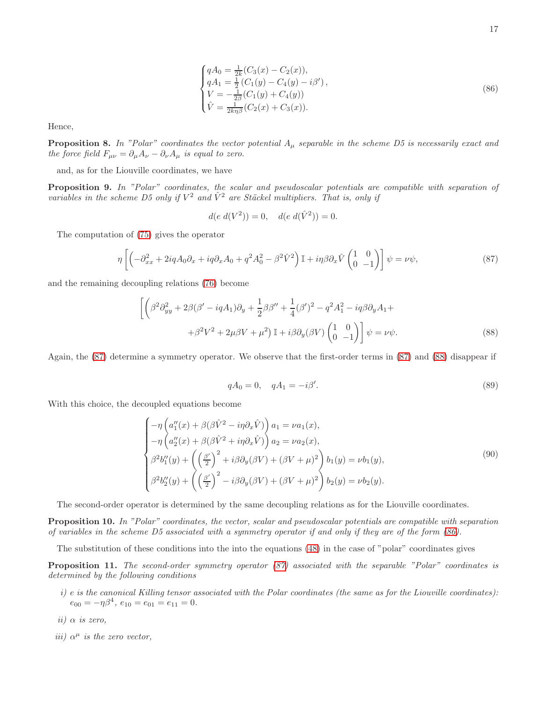<span id="page-16-2"></span>
$$
\begin{cases}\nqA_0 = \frac{1}{2k}(C_3(x) - C_2(x)), \\
qA_1 = \frac{1}{2}(C_1(y) - C_4(y) - i\beta'), \\
V = -\frac{1}{2\beta}(C_1(y) + C_4(y)) \\
\hat{V} = \frac{1}{2k\eta\beta}(C_2(x) + C_3(x)).\n\end{cases} (86)
$$

Hence,

**Proposition 8.** In "Polar" coordinates the vector potential  $A_\mu$  separable in the scheme D5 is necessarily exact and the force field  $F_{\mu\nu} = \partial_{\mu}A_{\nu} - \partial_{\nu}A_{\mu}$  is equal to zero.

and, as for the Liouville coordinates, we have

Proposition 9. In "Polar" coordinates, the scalar and pseudoscalar potentials are compatible with separation of variables in the scheme D5 only if  $V^2$  and  $\hat{V}^2$  are Stäckel multipliers. That is, only if

$$
d(e \ d(V^2)) = 0, \quad d(e \ d(\hat{V}^2)) = 0.
$$

The computation of [\(75\)](#page-12-0) gives the operator

<span id="page-16-0"></span>
$$
\eta \left[ \left( -\partial_{xx}^2 + 2iqA_0 \partial_x + iq\partial_x A_0 + q^2 A_0^2 - \beta^2 \hat{V}^2 \right) \mathbb{I} + i\eta \beta \partial_x \hat{V} \begin{pmatrix} 1 & 0 \\ 0 & -1 \end{pmatrix} \right] \psi = \nu \psi,
$$
\n(87)

and the remaining decoupling relations [\(76\)](#page-12-1) become

<span id="page-16-1"></span>
$$
\left[ \left( \beta^2 \partial_{yy}^2 + 2\beta (\beta' - iqA_1) \partial_y + \frac{1}{2} \beta \beta'' + \frac{1}{4} (\beta')^2 - q^2 A_1^2 - iq \beta \partial_y A_1 + \right. \\ \left. + \beta^2 V^2 + 2\mu \beta V + \mu^2 \right) \mathbb{I} + i\beta \partial_y (\beta V) \begin{pmatrix} 1 & 0 \\ 0 & -1 \end{pmatrix} \right] \psi = \nu \psi. \tag{88}
$$

Again, the [\(87\)](#page-16-0) determine a symmetry operator. We observe that the first-order terms in [\(87\)](#page-16-0) and [\(88\)](#page-16-1) disappear if

<span id="page-16-3"></span>
$$
qA_0 = 0, \quad qA_1 = -i\beta'.\tag{89}
$$

With this choice, the decoupled equations become

<span id="page-16-4"></span>
$$
\begin{cases}\n-\eta \left(a_1''(x) + \beta(\beta \hat{V}^2 - i\eta \partial_x \hat{V})\right) a_1 = \nu a_1(x), \\
-\eta \left(a_2''(x) + \beta(\beta \hat{V}^2 + i\eta \partial_x \hat{V})\right) a_2 = \nu a_2(x), \\
\beta^2 b_1''(y) + \left(\left(\frac{\beta'}{2}\right)^2 + i\beta \partial_y(\beta V) + (\beta V + \mu)^2\right) b_1(y) = \nu b_1(y), \\
\beta^2 b_2''(y) + \left(\left(\frac{\beta'}{2}\right)^2 - i\beta \partial_y(\beta V) + (\beta V + \mu)^2\right) b_2(y) = \nu b_2(y).\n\end{cases}
$$
\n(90)

The second-order operator is determined by the same decoupling relations as for the Liouville coordinates.

Proposition 10. In "Polar" coordinates, the vector, scalar and pseudoscalar potentials are compatible with separation of variables in the scheme D5 associated with a symmetry operator if and only if they are of the form [\(86\)](#page-16-2).

The substitution of these conditions into the into the equations [\(48\)](#page-7-0) in the case of "polar" coordinates gives

Proposition 11. The second-order symmetry operator [\(87\)](#page-16-0) associated with the separable "Polar" coordinates is determined by the following conditions

- i) e is the canonical Killing tensor associated with the Polar coordinates (the same as for the Liouville coordinates):  $e_{00} = -\eta \beta^4$ ,  $e_{10} = e_{01} = e_{11} = 0$ .
- ii)  $\alpha$  is zero,
- iii)  $\alpha^{\mu}$  is the zero vector,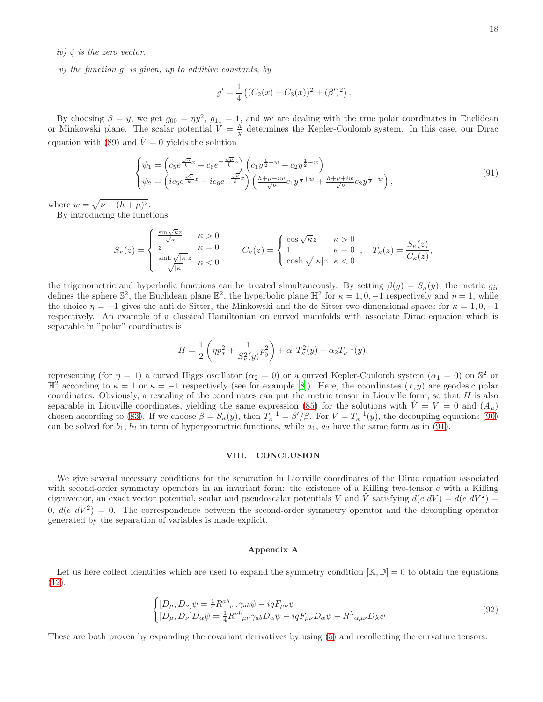- $iv) \zeta$  is the zero vector,
- $v)$  the function  $g'$  is given, up to additive constants, by

$$
g' = \frac{1}{4} ((C_2(x) + C_3(x))^2 + (\beta')^2).
$$

By choosing  $\beta = y$ , we get  $g_{00} = \eta y^2$ ,  $g_{11} = 1$ , and we are dealing with the true polar coordinates in Euclidean or Minkowski plane. The scalar potential  $V = \frac{h}{y}$  determines the Kepler-Coulomb system. In this case, our Dirac equation with [\(89\)](#page-16-3) and  $\hat{V}=0$  yields the solution

<span id="page-17-0"></span>
$$
\begin{cases}\n\psi_1 = \left(c_5 e^{\frac{\sqrt{\nu}}{k}x} + c_6 e^{-\frac{\sqrt{\nu}}{k}x}\right) \left(c_1 y^{\frac{1}{2}+w} + c_2 y^{\frac{1}{2}-w}\right) \\
\psi_2 = \left(ic_5 e^{\frac{\sqrt{\nu}}{k}x} - ic_6 e^{-\frac{\sqrt{\nu}}{k}x}\right) \left(\frac{h+\mu-iw}{\sqrt{\nu}}c_1 y^{\frac{1}{2}+w} + \frac{h+\mu+iw}{\sqrt{\nu}}c_2 y^{\frac{1}{2}-w}\right),\n\end{cases} \tag{91}
$$

where  $w = \sqrt{\nu - (h + \mu)^2}$ .

By introducing the functions

$$
S_{\kappa}(z) = \begin{cases} \frac{\sin \sqrt{\kappa} z}{\sqrt{\kappa}} & \kappa > 0 \\ z & \kappa = 0 \\ \frac{\sinh \sqrt{|\kappa|} z}{\sqrt{|\kappa|}} & \kappa < 0 \end{cases} \qquad C_{\kappa}(z) = \begin{cases} \cos \sqrt{\kappa} z & \kappa > 0 \\ 1 & \kappa = 0 \\ \cosh \sqrt{|\kappa|} z & \kappa < 0 \end{cases}, \quad T_{\kappa}(z) = \frac{S_{\kappa}(z)}{C_{\kappa}(z)},
$$

the trigonometric and hyperbolic functions can be treated simultaneously. By setting  $\beta(y) = S_{\kappa}(y)$ , the metric  $g_{ii}$ defines the sphere  $\mathbb{S}^2$ , the Euclidean plane  $\mathbb{E}^2$ , the hyperbolic plane  $\mathbb{H}^2$  for  $\kappa = 1, 0, -1$  respectively and  $\eta = 1$ , while the choice  $\eta = -1$  gives the anti-de Sitter, the Minkowski and the de Sitter two-dimensional spaces for  $\kappa = 1, 0, -1$ respectively. An example of a classical Hamiltonian on curved manifolds with associate Dirac equation which is separable in "polar" coordinates is

$$
H = \frac{1}{2} \left( \eta p_x^2 + \frac{1}{S_{\kappa}^2(y)} p_y^2 \right) + \alpha_1 T_{\kappa}^2(y) + \alpha_2 T_{\kappa}^{-1}(y),
$$

representing (for  $\eta = 1$ ) a curved Higgs oscillator ( $\alpha_2 = 0$ ) or a curved Kepler-Coulomb system ( $\alpha_1 = 0$ ) on  $\mathbb{S}^2$  or  $\mathbb{H}^2$  according to  $\kappa = 1$  or  $\kappa = -1$  respectively (see for example [\[8\]](#page-20-28)). Here, the coordinates  $(x, y)$  are geodesic polar coordinates. Obviously, a rescaling of the coordinates can put the metric tensor in Liouville form, so that  $H$  is also separable in Liouville coordinates, yielding the same expression [\(85\)](#page-15-0) for the solutions with  $\hat{V} = V = 0$  and  $(A_\mu)$ chosen according to [\(83\)](#page-14-4). If we choose  $\beta = S_{\kappa}(y)$ , then  $T_{\kappa}^{-1} = \beta'/\beta$ . For  $V = T_{\kappa}^{-1}(y)$ , the decoupling equations [\(90\)](#page-16-4) can be solved for  $b_1$ ,  $b_2$  in term of hypergeometric functions, while  $a_1$ ,  $a_2$  have the same form as in [\(91\)](#page-17-0).

#### VIII. CONCLUSION

We give several necessary conditions for the separation in Liouville coordinates of the Dirac equation associated with second-order symmetry operators in an invariant form: the existence of a Killing two-tensor e with a Killing eigenvector, an exact vector potential, scalar and pseudoscalar potentials V and  $\hat{V}$  satisfying  $d(e \ dV) = d(e \ dV^2) =$ 0,  $d(e \, d\hat{V}^2) = 0$ . The correspondence between the second-order symmetry operator and the decoupling operator generated by the separation of variables is made explicit.

#### Appendix A

Let us here collect identities which are used to expand the symmetry condition  $[K, \mathbb{D}] = 0$  to obtain the equations [\(12\)](#page-3-0).

<span id="page-17-1"></span>
$$
\begin{cases}\n[D_{\mu}, D_{\nu}]\psi = \frac{1}{4}R^{ab}{}_{\mu\nu}\gamma_{ab}\psi - iqF_{\mu\nu}\psi \\
[D_{\mu}, D_{\nu}]D_{\alpha}\psi = \frac{1}{4}R^{ab}{}_{\mu\nu}\gamma_{ab}D_{\alpha}\psi - iqF_{\mu\nu}D_{\alpha}\psi - R^{\lambda}{}_{\alpha\mu\nu}D_{\lambda}\psi\n\end{cases}
$$
\n(92)

These are both proven by expanding the covariant derivatives by using [\(5\)](#page-2-1) and recollecting the curvature tensors.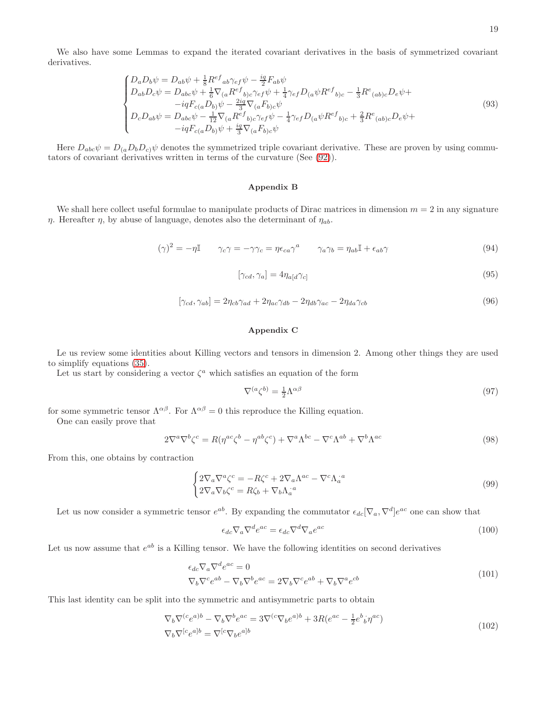We also have some Lemmas to expand the iterated covariant derivatives in the basis of symmetrized covariant derivatives.

$$
\begin{cases}\nD_a D_b \psi = D_{ab} \psi + \frac{1}{8} R^{ef}{}_{ab} \gamma_{ef} \psi - \frac{iq}{2} F_{ab} \psi \\
D_{ab} D_c \psi = D_{abc} \psi + \frac{1}{6} \nabla_{(a} R^{ef}{}_{b)c} \gamma_{ef} \psi + \frac{1}{4} \gamma_{ef} D_{(a} \psi R^{ef}{}_{b)c} - \frac{1}{3} R^e{}_{(ab)c} D_e \psi + \\
& - iq F_{c(a} D_{b)} \psi - \frac{2iq}{3} \nabla_{(a} F_{b)c} \psi \\
D_c D_{ab} \psi = D_{abc} \psi - \frac{1}{12} \nabla_{(a} R^{ef}{}_{b)c} \gamma_{ef} \psi - \frac{1}{4} \gamma_{ef} D_{(a} \psi R^{ef}{}_{b)c} + \frac{2}{3} R^e{}_{(ab)c} D_e \psi + \\
& - iq F_{c(a} D_{b)} \psi + \frac{iq}{3} \nabla_{(a} F_{b)c} \psi\n\end{cases}
$$
\n(93)

Here  $D_{abc}\psi = D_{(a}D_bD_c)\psi$  denotes the symmetrized triple covariant derivative. These are proven by using commutators of covariant derivatives written in terms of the curvature (See [\(92\)](#page-17-1)).

#### Appendix B

We shall here collect useful formulae to manipulate products of Dirac matrices in dimension  $m = 2$  in any signature  $η$ . Hereafter  $η$ , by abuse of language, denotes also the determinant of  $η<sub>ab</sub>$ .

$$
(\gamma)^2 = -\eta \mathbb{I} \qquad \gamma_c \gamma = -\gamma \gamma_c = \eta \epsilon_{ca} \gamma^a \qquad \gamma_a \gamma_b = \eta_{ab} \mathbb{I} + \epsilon_{ab} \gamma \tag{94}
$$

$$
[\gamma_{cd}, \gamma_a] = 4\eta_{a[d}\gamma_{c]}
$$
\n(95)

$$
[\gamma_{cd}, \gamma_{ab}] = 2\eta_{cb}\gamma_{ad} + 2\eta_{ac}\gamma_{db} - 2\eta_{db}\gamma_{ac} - 2\eta_{da}\gamma_{cb}
$$
\n(96)

# Appendix C

Le us review some identities about Killing vectors and tensors in dimension 2. Among other things they are used to simplify equations [\(35\)](#page-5-1).

Let us start by considering a vector  $\zeta^a$  which satisfies an equation of the form

$$
\nabla^{(a}\zeta^{b)} = \frac{1}{2}\Lambda^{\alpha\beta} \tag{97}
$$

for some symmetric tensor  $\Lambda^{\alpha\beta}$ . For  $\Lambda^{\alpha\beta} = 0$  this reproduce the Killing equation.

One can easily prove that

$$
2\nabla^{a}\nabla^{b}\zeta^{c} = R(\eta^{ac}\zeta^{b} - \eta^{ab}\zeta^{c}) + \nabla^{a}\Lambda^{bc} - \nabla^{c}\Lambda^{ab} + \nabla^{b}\Lambda^{ac}
$$
\n(98)

From this, one obtains by contraction

$$
\begin{cases} 2\nabla_a \nabla^a \zeta^c = -R\zeta^c + 2\nabla_a \Lambda^{ac} - \nabla^c \Lambda_a^{*a} \\ 2\nabla_a \nabla_b \zeta^c = R\zeta_b + \nabla_b \Lambda_a^{*a} \end{cases} \tag{99}
$$

Let us now consider a symmetric tensor  $e^{ab}$ . By expanding the commutator  $\epsilon_{dc}[\nabla_a, \nabla^d]e^{ac}$  one can show that

$$
\epsilon_{dc}\nabla_a\nabla^d e^{ac} = \epsilon_{dc}\nabla^d\nabla_a e^{ac} \tag{100}
$$

Let us now assume that  $e^{ab}$  is a Killing tensor. We have the following identities on second derivatives

$$
\epsilon_{dc}\nabla_a\nabla^d e^{ac} = 0
$$
  
\n
$$
\nabla_b\nabla^c e^{ab} - \nabla_b\nabla^b e^{ac} = 2\nabla_b\nabla^c e^{ab} + \nabla_b\nabla^a e^{cb}
$$
\n(101)

This last identity can be split into the symmetric and antisymmetric parts to obtain

<span id="page-18-0"></span>
$$
\nabla_b \nabla^{(c} e^{a)b} - \nabla_b \nabla^b e^{ac} = 3 \nabla^{(c} \nabla_b e^{a)b} + 3R(e^{ac} - \frac{1}{2} e^b{}_b^i \eta^{ac})
$$
  
\n
$$
\nabla_b \nabla^{[c} e^{a]b} = \nabla^{[c} \nabla_b e^{a]b}
$$
\n(102)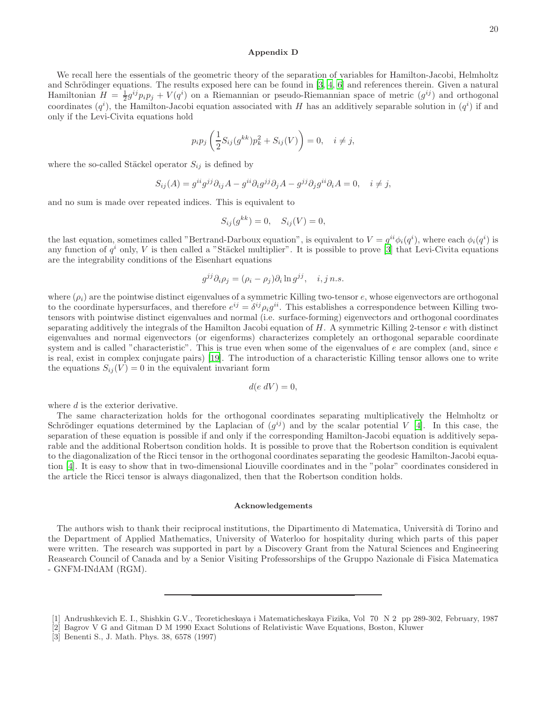#### Appendix D

We recall here the essentials of the geometric theory of the separation of variables for Hamilton-Jacobi, Helmholtz and Schrödinger equations. The results exposed here can be found in  $[3, 4, 6]$  $[3, 4, 6]$  $[3, 4, 6]$  $[3, 4, 6]$  and references therein. Given a natural Hamiltonian  $H = \frac{1}{2}g^{ij}p_ip_j + V(q^i)$  on a Riemannian or pseudo-Riemannian space of metric  $(g^{ij})$  and orthogonal coordinates  $(q^i)$ , the Hamilton-Jacobi equation associated with H has an additively separable solution in  $(q^i)$  if and only if the Levi-Civita equations hold

$$
p_i p_j \left(\frac{1}{2}S_{ij}(g^{kk})p_k^2 + S_{ij}(V)\right) = 0, \quad i \neq j,
$$

where the so-called Stäckel operator  $S_{ij}$  is defined by

$$
S_{ij}(A) = g^{ii}g^{jj}\partial_{ij}A - g^{ii}\partial_i g^{jj}\partial_j A - g^{jj}\partial_j g^{ii}\partial_i A = 0, \quad i \neq j,
$$

and no sum is made over repeated indices. This is equivalent to

$$
S_{ij}(g^{kk}) = 0, \quad S_{ij}(V) = 0,
$$

the last equation, sometimes called "Bertrand-Darboux equation", is equivalent to  $V = g^{ii} \phi_i(q^i)$ , where each  $\phi_i(q^i)$  is any function of  $q^i$  only, V is then called a "Stäckel multiplier". It is possible to prove [\[3\]](#page-19-2) that Levi-Civita equations are the integrability conditions of the Eisenhart equations

$$
g^{jj}\partial_i \rho_j = (\rho_i - \rho_j)\partial_i \ln g^{jj}, \quad i, j \, n.s.
$$

where  $(\rho_i)$  are the pointwise distinct eigenvalues of a symmetric Killing two-tensor e, whose eigenvectors are orthogonal to the coordinate hypersurfaces, and therefore  $e^{ij} = \delta^{ij} \rho_i g^{ii}$ . This establishes a correspondence between Killing twotensors with pointwise distinct eigenvalues and normal (i.e. surface-forming) eigenvectors and orthogonal coordinates separating additively the integrals of the Hamilton Jacobi equation of  $H$ . A symmetric Killing 2-tensor  $e$  with distinct eigenvalues and normal eigenvectors (or eigenforms) characterizes completely an orthogonal separable coordinate system and is called "characteristic". This is true even when some of the eigenvalues of  $e$  are complex (and, since  $e$ is real, exist in complex conjugate pairs) [\[19](#page-20-21)]. The introduction of a characteristic Killing tensor allows one to write the equations  $S_{ij}(V) = 0$  in the equivalent invariant form

$$
d(e\ dV)=0,
$$

where d is the exterior derivative.

The same characterization holds for the orthogonal coordinates separating multiplicatively the Helmholtz or Schrödinger equations determined by the Laplacian of  $(g^{ij})$  and by the scalar potential V [\[4](#page-20-4)]. In this case, the separation of these equation is possible if and only if the corresponding Hamilton-Jacobi equation is additively separable and the additional Robertson condition holds. It is possible to prove that the Robertson condition is equivalent to the diagonalization of the Ricci tensor in the orthogonal coordinates separating the geodesic Hamilton-Jacobi equation [\[4\]](#page-20-4). It is easy to show that in two-dimensional Liouville coordinates and in the "polar" coordinates considered in the article the Ricci tensor is always diagonalized, then that the Robertson condition holds.

### Acknowledgements

The authors wish to thank their reciprocal institutions, the Dipartimento di Matematica, Università di Torino and the Department of Applied Mathematics, University of Waterloo for hospitality during which parts of this paper were written. The research was supported in part by a Discovery Grant from the Natural Sciences and Engineering Reasearch Council of Canada and by a Senior Visiting Professorships of the Gruppo Nazionale di Fisica Matematica - GNFM-INdAM (RGM).

<span id="page-19-1"></span><sup>[1]</sup> Andrushkevich E. I., Shishkin G.V., Teoreticheskaya i Matematicheskaya Fizika, Vol 70 N 2 pp 289-302, February, 1987

<span id="page-19-0"></span><sup>[2]</sup> Bagrov V G and Gitman D M 1990 Exact Solutions of Relativistic Wave Equations, Boston, Kluwer

<span id="page-19-2"></span><sup>[3]</sup> Benenti S., J. Math. Phys. 38, 6578 (1997)